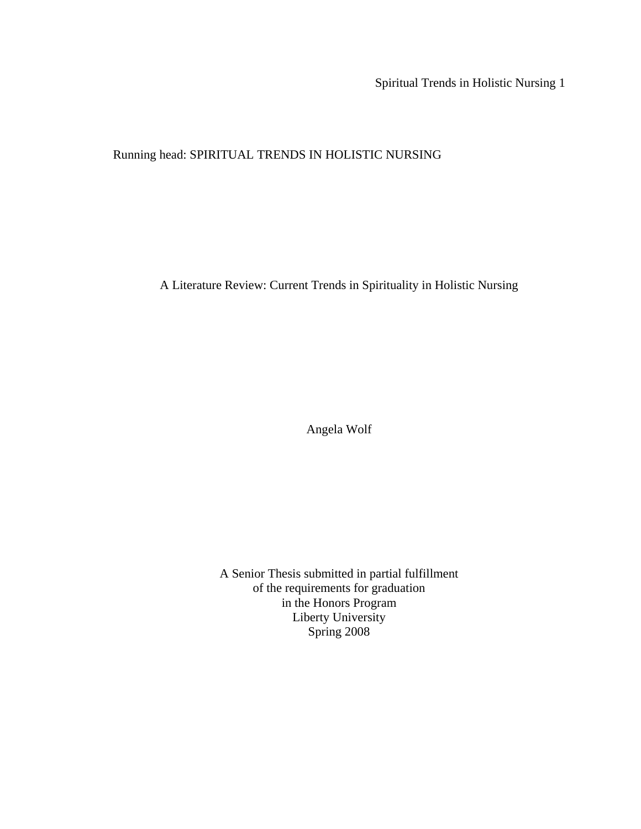Spiritual Trends in Holistic Nursing 1

Running head: SPIRITUAL TRENDS IN HOLISTIC NURSING

A Literature Review: Current Trends in Spirituality in Holistic Nursing

Angela Wolf

A Senior Thesis submitted in partial fulfillment of the requirements for graduation in the Honors Program Liberty University Spring 2008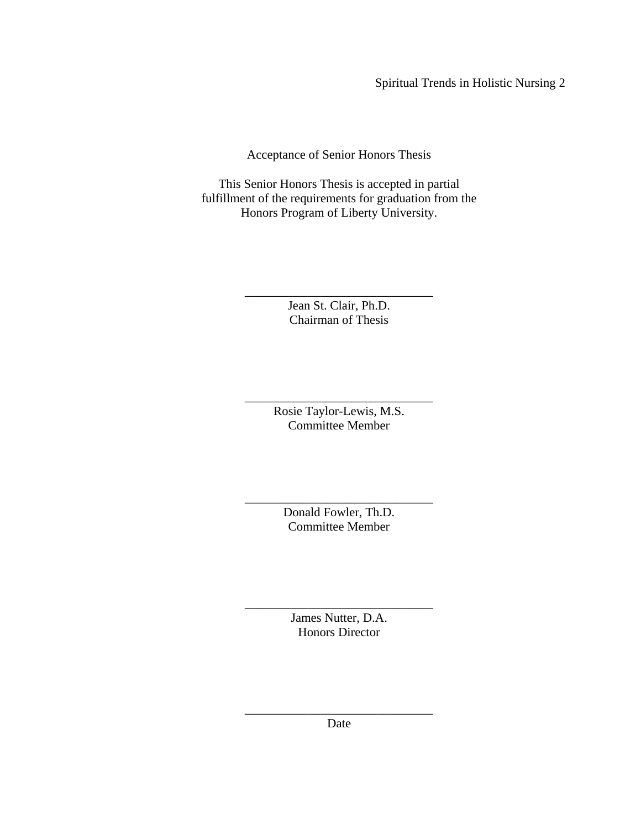Spiritual Trends in Holistic Nursing 2

Acceptance of Senior Honors Thesis

This Senior Honors Thesis is accepted in partial fulfillment of the requirements for graduation from the Honors Program of Liberty University.

> Jean St. Clair, Ph.D. Chairman of Thesis

\_\_\_\_\_\_\_\_\_\_\_\_\_\_\_\_\_\_\_\_\_\_\_\_\_\_\_\_\_\_

\_\_\_\_\_\_\_\_\_\_\_\_\_\_\_\_\_\_\_\_\_\_\_\_\_\_\_\_\_\_ Rosie Taylor-Lewis, M.S. Committee Member

\_\_\_\_\_\_\_\_\_\_\_\_\_\_\_\_\_\_\_\_\_\_\_\_\_\_\_\_\_\_ Donald Fowler, Th.D. Committee Member

> James Nutter, D.A. Honors Director

\_\_\_\_\_\_\_\_\_\_\_\_\_\_\_\_\_\_\_\_\_\_\_\_\_\_\_\_\_\_

\_\_\_\_\_\_\_\_\_\_\_\_\_\_\_\_\_\_\_\_\_\_\_\_\_\_\_\_\_\_ Date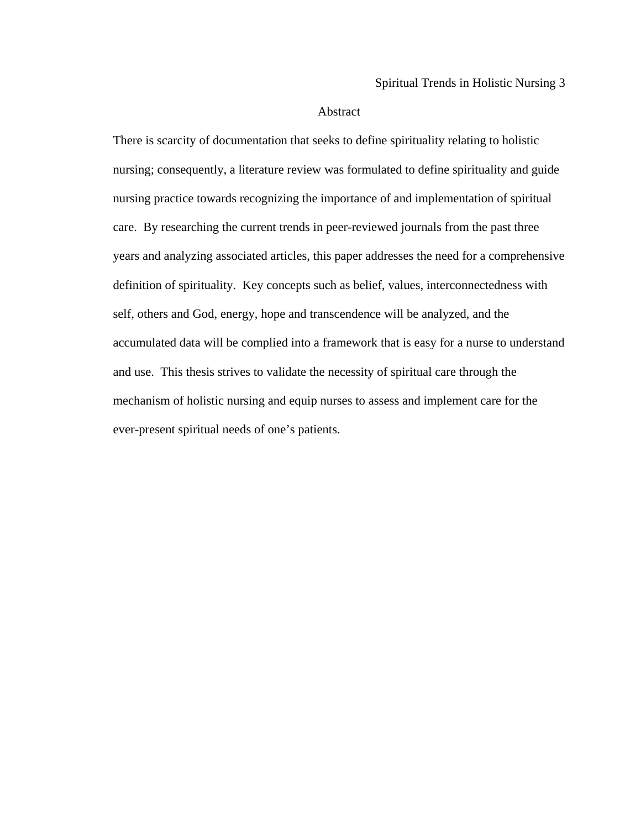# Abstract

There is scarcity of documentation that seeks to define spirituality relating to holistic nursing; consequently, a literature review was formulated to define spirituality and guide nursing practice towards recognizing the importance of and implementation of spiritual care. By researching the current trends in peer-reviewed journals from the past three years and analyzing associated articles, this paper addresses the need for a comprehensive definition of spirituality. Key concepts such as belief, values, interconnectedness with self, others and God, energy, hope and transcendence will be analyzed, and the accumulated data will be complied into a framework that is easy for a nurse to understand and use. This thesis strives to validate the necessity of spiritual care through the mechanism of holistic nursing and equip nurses to assess and implement care for the ever-present spiritual needs of one's patients.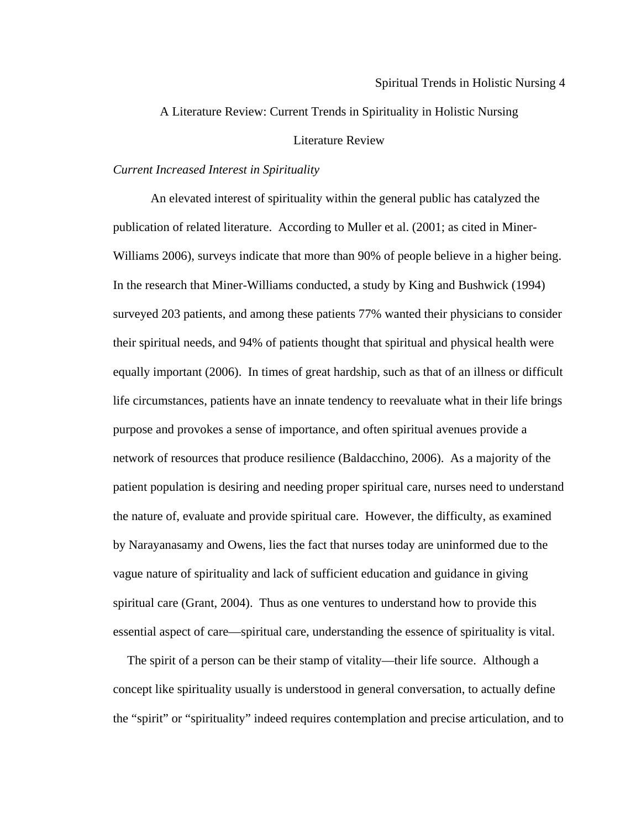A Literature Review: Current Trends in Spirituality in Holistic Nursing

# Literature Review

# *Current Increased Interest in Spirituality*

 An elevated interest of spirituality within the general public has catalyzed the publication of related literature. According to Muller et al. (2001; as cited in Miner-Williams 2006), surveys indicate that more than 90% of people believe in a higher being. In the research that Miner-Williams conducted, a study by King and Bushwick (1994) surveyed 203 patients, and among these patients 77% wanted their physicians to consider their spiritual needs, and 94% of patients thought that spiritual and physical health were equally important (2006). In times of great hardship, such as that of an illness or difficult life circumstances, patients have an innate tendency to reevaluate what in their life brings purpose and provokes a sense of importance, and often spiritual avenues provide a network of resources that produce resilience (Baldacchino, 2006). As a majority of the patient population is desiring and needing proper spiritual care, nurses need to understand the nature of, evaluate and provide spiritual care. However, the difficulty, as examined by Narayanasamy and Owens, lies the fact that nurses today are uninformed due to the vague nature of spirituality and lack of sufficient education and guidance in giving spiritual care (Grant, 2004). Thus as one ventures to understand how to provide this essential aspect of care—spiritual care, understanding the essence of spirituality is vital.

 The spirit of a person can be their stamp of vitality—their life source. Although a concept like spirituality usually is understood in general conversation, to actually define the "spirit" or "spirituality" indeed requires contemplation and precise articulation, and to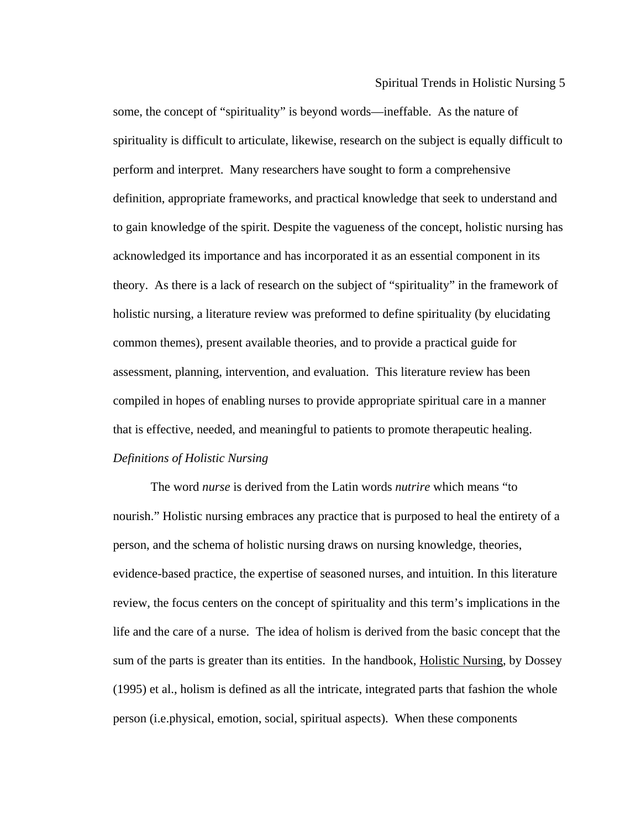some, the concept of "spirituality" is beyond words—ineffable. As the nature of spirituality is difficult to articulate, likewise, research on the subject is equally difficult to perform and interpret. Many researchers have sought to form a comprehensive definition, appropriate frameworks, and practical knowledge that seek to understand and to gain knowledge of the spirit. Despite the vagueness of the concept, holistic nursing has acknowledged its importance and has incorporated it as an essential component in its theory. As there is a lack of research on the subject of "spirituality" in the framework of holistic nursing, a literature review was preformed to define spirituality (by elucidating common themes), present available theories, and to provide a practical guide for assessment, planning, intervention, and evaluation. This literature review has been compiled in hopes of enabling nurses to provide appropriate spiritual care in a manner that is effective, needed, and meaningful to patients to promote therapeutic healing. *Definitions of Holistic Nursing* 

 The word *nurse* is derived from the Latin words *nutrire* which means "to nourish." Holistic nursing embraces any practice that is purposed to heal the entirety of a person, and the schema of holistic nursing draws on nursing knowledge, theories, evidence-based practice, the expertise of seasoned nurses, and intuition. In this literature review, the focus centers on the concept of spirituality and this term's implications in the life and the care of a nurse. The idea of holism is derived from the basic concept that the sum of the parts is greater than its entities. In the handbook, Holistic Nursing, by Dossey (1995) et al., holism is defined as all the intricate, integrated parts that fashion the whole person (i.e.physical, emotion, social, spiritual aspects). When these components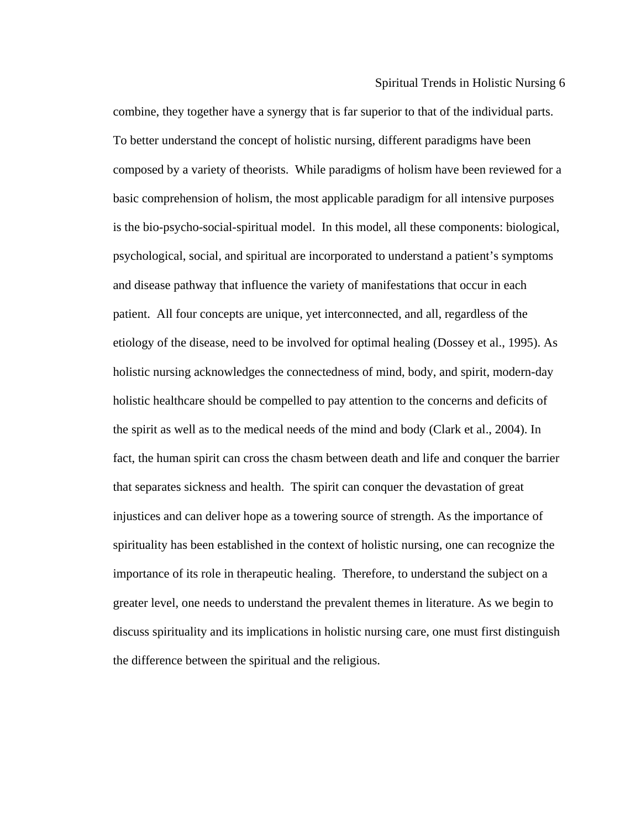combine, they together have a synergy that is far superior to that of the individual parts. To better understand the concept of holistic nursing, different paradigms have been composed by a variety of theorists. While paradigms of holism have been reviewed for a basic comprehension of holism, the most applicable paradigm for all intensive purposes is the bio-psycho-social-spiritual model. In this model, all these components: biological, psychological, social, and spiritual are incorporated to understand a patient's symptoms and disease pathway that influence the variety of manifestations that occur in each patient. All four concepts are unique, yet interconnected, and all, regardless of the etiology of the disease, need to be involved for optimal healing (Dossey et al., 1995). As holistic nursing acknowledges the connectedness of mind, body, and spirit, modern-day holistic healthcare should be compelled to pay attention to the concerns and deficits of the spirit as well as to the medical needs of the mind and body (Clark et al., 2004). In fact, the human spirit can cross the chasm between death and life and conquer the barrier that separates sickness and health. The spirit can conquer the devastation of great injustices and can deliver hope as a towering source of strength. As the importance of spirituality has been established in the context of holistic nursing, one can recognize the importance of its role in therapeutic healing. Therefore, to understand the subject on a greater level, one needs to understand the prevalent themes in literature. As we begin to discuss spirituality and its implications in holistic nursing care, one must first distinguish the difference between the spiritual and the religious.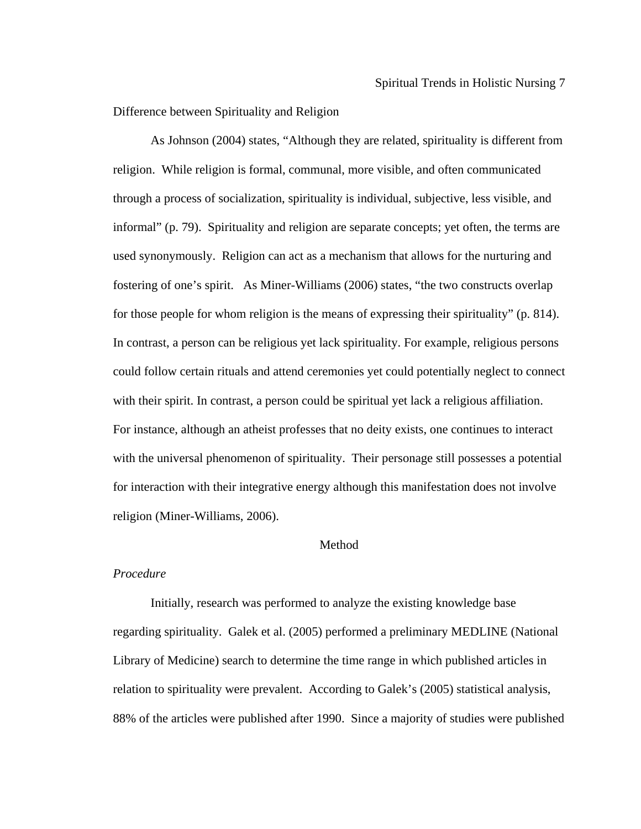Difference between Spirituality and Religion

As Johnson (2004) states, "Although they are related, spirituality is different from informal" (p. 79). Spirituality and religion are separate concepts; yet often, the terms are for those people for whom religion is the means of expressing their spirituality" (p. 814). with their spirit. In contrast, a person could be spiritual yet lack a religious affiliation. For instance, although an atheist professes that no deity exists, one continues to interact with the universal phenomenon of spirituality. Their personage still possesses a potential religion. While religion is formal, communal, more visible, and often communicated through a process of socialization, spirituality is individual, subjective, less visible, and used synonymously. Religion can act as a mechanism that allows for the nurturing and fostering of one's spirit. As Miner-Williams (2006) states, "the two constructs overlap In contrast, a person can be religious yet lack spirituality. For example, religious persons could follow certain rituals and attend ceremonies yet could potentially neglect to connect for interaction with their integrative energy although this manifestation does not involve religion (Miner-Williams, 2006).

# Method

## *Procedure*

Initially, research was performed to analyze the existing knowledge base regarding spirituality. Galek et al. (2005) performed a preliminary MEDLINE (National Library of Medicine) search to determine the time range in which published articles in 88% of the articles were published after 1990. Since a majority of studies were published relation to spirituality were prevalent. According to Galek's (2005) statistical analysis,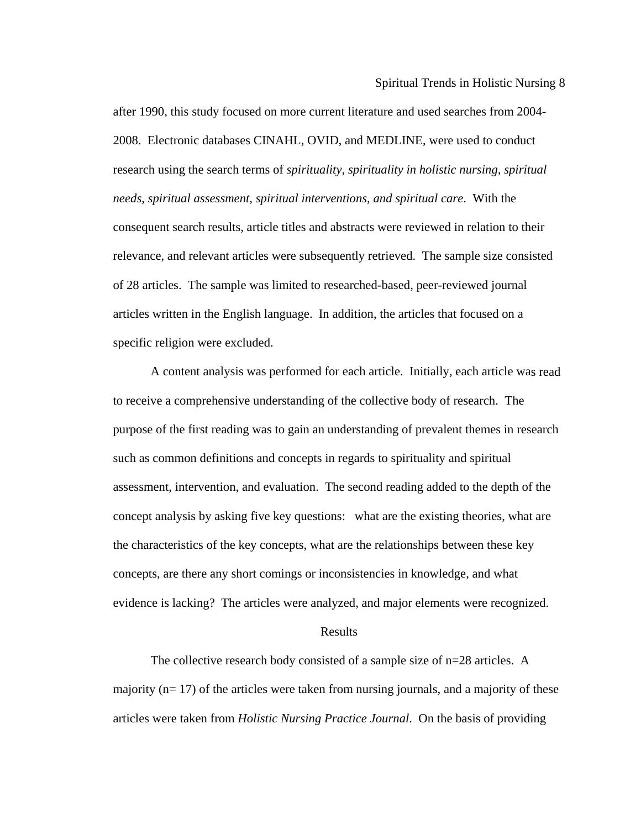Spiritual Trends in Holistic Nursing 8

relevance, and relevant articles were subsequently retrieved. The sample size consisted after 1990, this study focused on more current literature and used searches from 2004- 2008. Electronic databases CINAHL, OVID, and MEDLINE, were used to conduct research using the search terms of *spirituality, spirituality in holistic nursing, spiritual needs, spiritual assessment, spiritual interventions, and spiritual care*. With the consequent search results, article titles and abstracts were reviewed in relation to their of 28 articles. The sample was limited to researched-based, peer-reviewed journal articles written in the English language. In addition, the articles that focused on a specific religion were excluded.

A content analysis was performed for each article. Initially, each article was read to receive a comprehensive understanding of the collective body of research. The concept analysis by asking five key questions: what are the existing theories, what are evidence is lacking? The articles were analyzed, and major elements were recognized. purpose of the first reading was to gain an understanding of prevalent themes in research such as common definitions and concepts in regards to spirituality and spiritual assessment, intervention, and evaluation. The second reading added to the depth of the the characteristics of the key concepts, what are the relationships between these key concepts, are there any short comings or inconsistencies in knowledge, and what

# Results

majority ( $n=17$ ) of the articles were taken from nursing journals, and a majority of these articles were taken from *Holistic Nursing Practice Journal*. On the basis of providing The collective research body consisted of a sample size of n=28 articles. A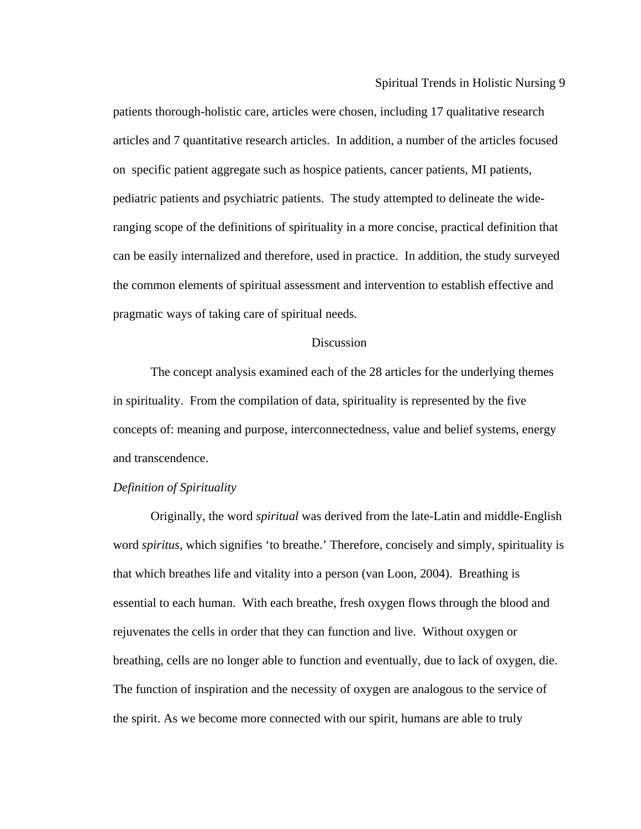articles and 7 quantitative research articles. In addition, a number of the articles focused ranging scope of the definitions of spirituality in a more concise, practical definition that can be easily internalized and therefore, used in practice. In addition, the study surveyed patients thorough-holistic care, articles were chosen, including 17 qualitative research on specific patient aggregate such as hospice patients, cancer patients, MI patients, pediatric patients and psychiatric patients. The study attempted to delineate the widethe common elements of spiritual assessment and intervention to establish effective and pragmatic ways of taking care of spiritual needs.

# **Discussion**

The concept analysis examined each of the 28 articles for the underlying themes in spirituality. From the compilation of data, spirituality is represented by the five concepts of: meaning and purpose, interconnectedness, value and belief systems, energy and transcendence.

# *Definition of Spirituality*

Originally, the word *spiritual* was derived from the late-Latin and middle-English word *spiritus*, which signifies 'to breathe.' Therefore, concisely and simply, spirituality is breathing, cells are no longer able to function and eventually, due to lack of oxygen, die. The function of inspiration and the necessity of oxygen are analogous to the service of that which breathes life and vitality into a person (van Loon, 2004). Breathing is essential to each human. With each breathe, fresh oxygen flows through the blood and rejuvenates the cells in order that they can function and live. Without oxygen or the spirit. As we become more connected with our spirit, humans are able to truly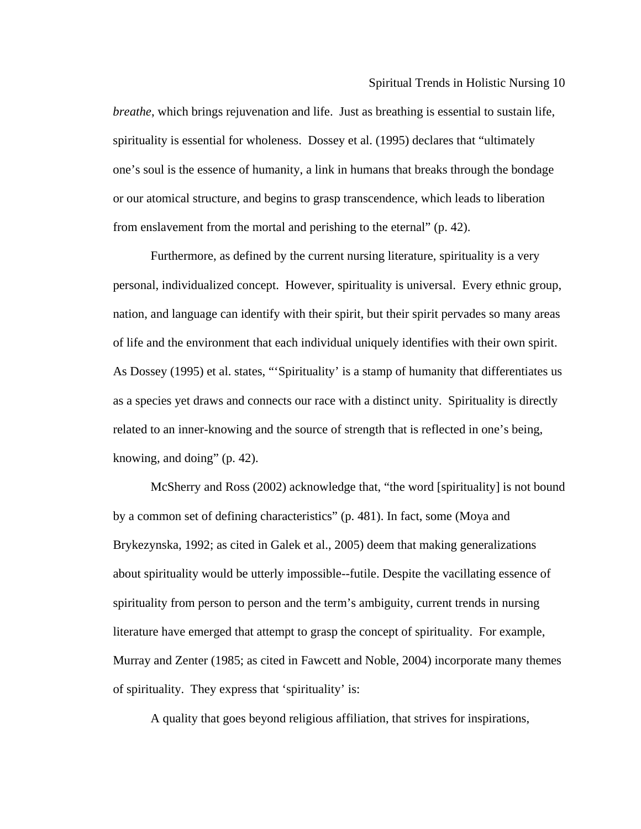Spiritual Trends in Holistic Nursing 10

, *breathe*, which brings rejuvenation and life. Just as breathing is essential to sustain life spirituality is essential for wholeness. Dossey et al. (1995) declares that "ultimately one's soul is the essence of humanity, a link in humans that breaks through the bondage or our atomical structure, and begins to grasp transcendence, which leads to liberation from enslavement from the mortal and perishing to the eternal" (p. 42).

personal, individualized concept. However, spirituality is universal. Every ethnic group, nation, and language can identify with their spirit, but their spirit pervades so many areas Furthermore, as defined by the current nursing literature, spirituality is a very of life and the environment that each individual uniquely identifies with their own spirit. As Dossey (1995) et al. states, "'Spirituality' is a stamp of humanity that differentiates us as a species yet draws and connects our race with a distinct unity. Spirituality is directly related to an inner-knowing and the source of strength that is reflected in one's being, knowing, and doing" (p. 42).

McSherry and Ross (2002) acknowledge that, "the word [spirituality] is not bound by a common set of defining characteristics" (p. 481). In fact, some (Moya and about spirituality would be utterly impossible--futile. Despite the vacillating essence of Murray and Zenter (1985; as cited in Fawcett and Noble, 2004) incorporate many themes Brykezynska, 1992; as cited in Galek et al., 2005) deem that making generalizations spirituality from person to person and the term's ambiguity, current trends in nursing literature have emerged that attempt to grasp the concept of spirituality. For example, of spirituality. They express that 'spirituality' is:

A quality that goes beyond religious affiliation, that strives for inspirations,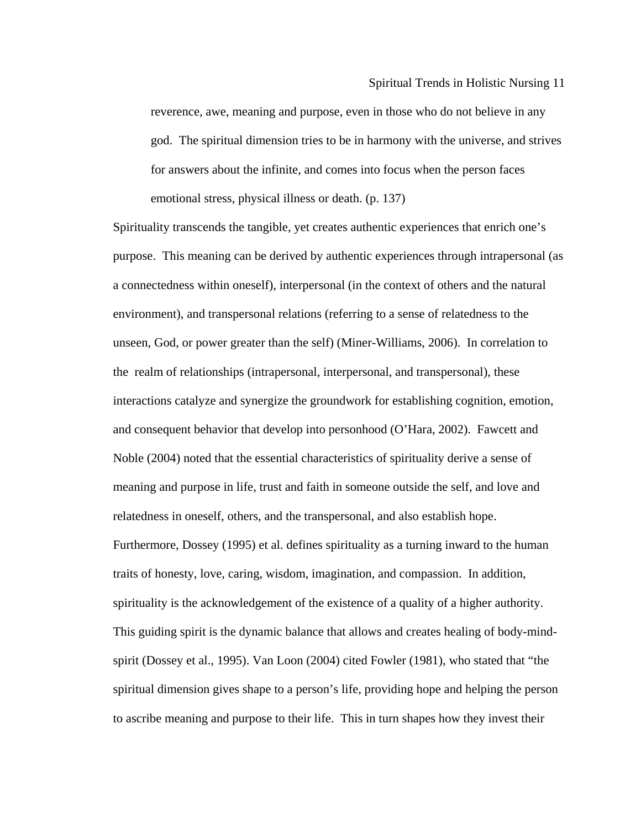reverence, awe, meaning and purpose, even in those who do not believe in any god. The spiritual dimension tries to be in harmony with the universe, and strives for answers about the infinite, and comes into focus when the person faces emotional stress, physical illness or death. (p. 137)

Spirituality transcends the tangible, yet creates authentic experiences that enrich one's purpose. This meaning can be derived by authentic experiences through intrapersonal (as and consequent behavior that develop into personhood (O'Hara, 2002). Fawcett and traits of honesty, love, caring, wisdom, imagination, and compassion. In addition, This guiding spirit is the dynamic balance that allows and creates healing of body-minda connectedness within oneself), interpersonal (in the context of others and the natural environment), and transpersonal relations (referring to a sense of relatedness to the unseen, God, or power greater than the self) (Miner-Williams, 2006). In correlation to the realm of relationships (intrapersonal, interpersonal, and transpersonal), these interactions catalyze and synergize the groundwork for establishing cognition, emotion, Noble (2004) noted that the essential characteristics of spirituality derive a sense of meaning and purpose in life, trust and faith in someone outside the self, and love and relatedness in oneself, others, and the transpersonal, and also establish hope. Furthermore, Dossey (1995) et al. defines spirituality as a turning inward to the human spirituality is the acknowledgement of the existence of a quality of a higher authority. spirit (Dossey et al., 1995). Van Loon (2004) cited Fowler (1981), who stated that "the spiritual dimension gives shape to a person's life, providing hope and helping the person to ascribe meaning and purpose to their life. This in turn shapes how they invest their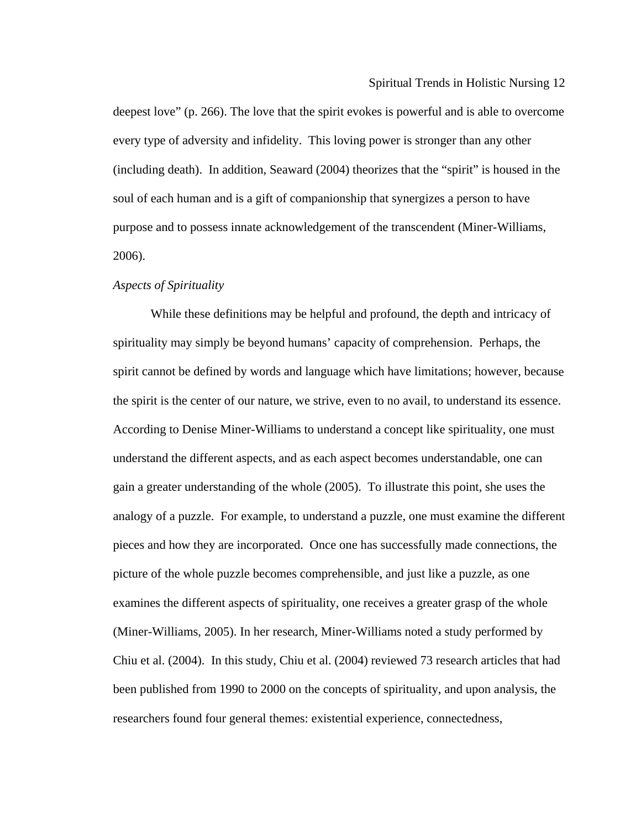Spiritual Trends in Holistic Nursing 12

deepest love" (p. 266). The love that the spirit evokes is powerful and is able to overcome every type of adversity and infidelity. This loving power is stronger than any other (including death). In addition, Seaward (2004) theorizes that the "spirit" is housed in the soul of each human and is a gift of companionship that synergizes a person to have purpose and to possess innate acknowledgement of the transcendent (Miner-Williams, 2006).

#### *Aspects of Spirituality*

While these definitions may be helpful and profound, the depth and intricacy of spirituality may simply be beyond humans' capacity of comprehension. Perhaps, the spirit cannot be defined by words and language which have limitations; however, because the spirit is the center of our nature, we strive, even to no avail, to understand its essence. analogy of a puzzle. For example, to understand a puzzle, one must examine the different pieces and how they are incorporated. Once one has successfully made connections, the (Miner-Williams, 2005). In her research, Miner-Williams noted a study performed by Chiu et al. (2004). In this study, Chiu et al. (2004) reviewed 73 research articles that had been published from 1990 to 2000 on the concepts of spirituality, and upon analysis, the According to Denise Miner-Williams to understand a concept like spirituality, one must understand the different aspects, and as each aspect becomes understandable, one can gain a greater understanding of the whole (2005). To illustrate this point, she uses the picture of the whole puzzle becomes comprehensible, and just like a puzzle, as one examines the different aspects of spirituality, one receives a greater grasp of the whole researchers found four general themes: existential experience, connectedness,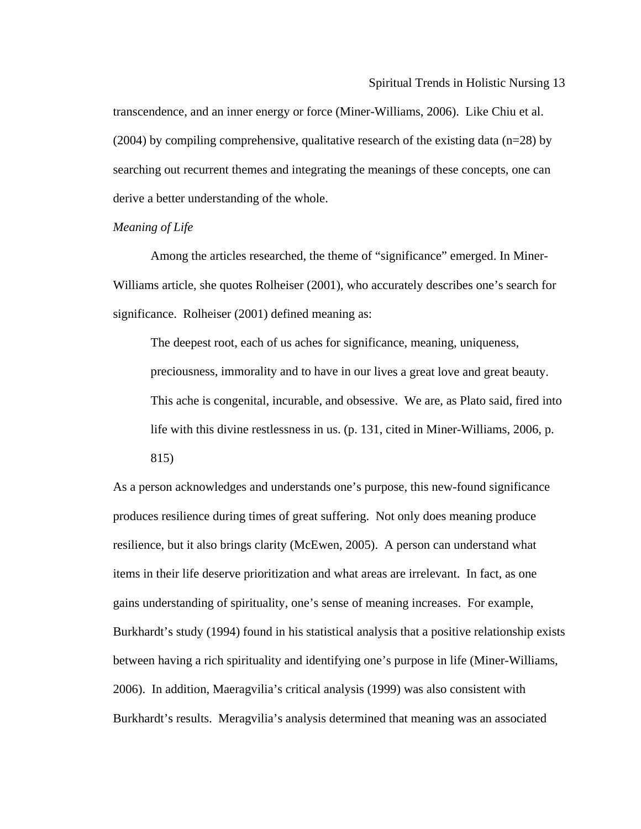$(2004)$  by compiling comprehensive, qualitative research of the existing data (n=28) by transcendence, and an inner energy or force (Miner-Williams, 2006). Like Chiu et al. searching out recurrent themes and integrating the meanings of these concepts, one can derive a better understanding of the whole.

# *Meaning of Life*

Among the articles researched, the theme of "significance" emerged. In Miner-Williams article, she quotes Rolheiser (2001), who accurately describes one's search for signific ance. Rolheiser (2001) defined meaning as:

preciousness, immorality and to have in our lives a great love and great beauty. This ache is congenital, incurable, and obsessive. We are, as Plato said, fired into The deepest root, each of us aches for significance, meaning, uniqueness, life with this divine restlessness in us. (p. 131, cited in Miner-Williams, 2006, p. 815)

As a pe rson acknowledges and understands one's purpose, this new-found significance produces resilience during times of great suffering. Not only does meaning produce Burkhardt's study (1994) found in his statistical analysis that a positive relationship exists between having a rich spirituality and identifying one's purpose in life (Miner-Williams, resilience, but it also brings clarity (McEwen, 2005). A person can understand what items in their life deserve prioritization and what areas are irrelevant. In fact, as one gains understanding of spirituality, one's sense of meaning increases. For example, 2006). In addition, Maeragvilia's critical analysis (1999) was also consistent with Burkhardt's results. Meragvilia's analysis determined that meaning was an associated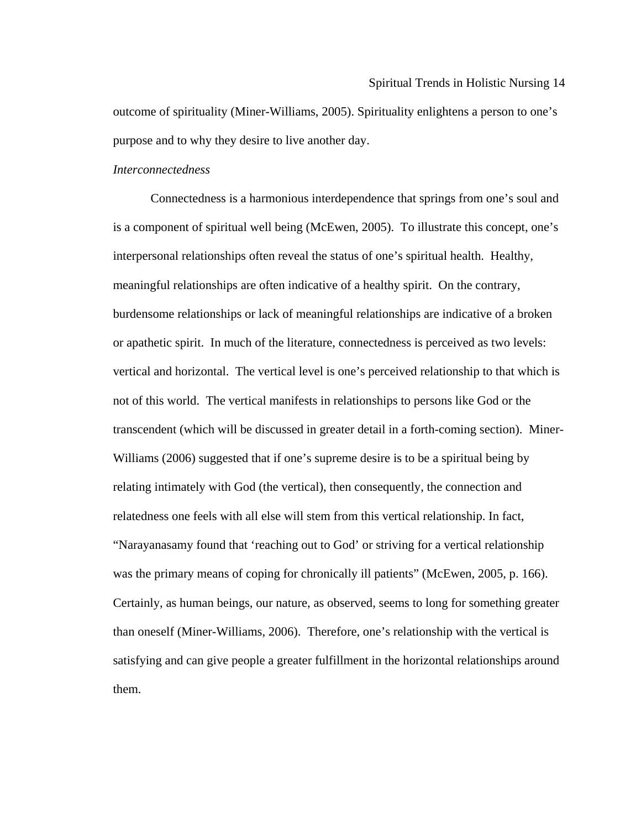outcome of spirituality (Miner-Williams, 2005). Spirituality enlightens a person to one's purpose and to why they desire to live another day.

# *Interconnectedness*

Connectedness is a harmonious interdependence that springs from one's soul and is a component of spiritual well being (McEwen, 2005). To illustrate this concept, one's interpe rsonal relationships often reveal the status of one's spiritual health. Healthy, burdensome relationships or lack of meaningful relationships are indicative of a broken or apathetic spirit. In much of the literature, connectedness is perceived as two levels: "Narayanasamy found that 'reaching out to God' or striving for a vertical relationship was the primary means of coping for chronically ill patients" (McEwen, 2005, p. 166). Certainly, as human beings, our nature, as observed, seems to long for something greater meaningful relationships are often indicative of a healthy spirit. On the contrary, vertical and horizontal. The vertical level is one's perceived relationship to that which is not of this world. The vertical manifests in relationships to persons like God or the transcendent (which will be discussed in greater detail in a forth-coming section). Miner-Williams (2006) suggested that if one's supreme desire is to be a spiritual being by relating intimately with God (the vertical), then consequently, the connection and relatedness one feels with all else will stem from this vertical relationship. In fact, than oneself (Miner-Williams, 2006). Therefore, one's relationship with the vertical is satisfying and can give people a greater fulfillment in the horizontal relationships around them.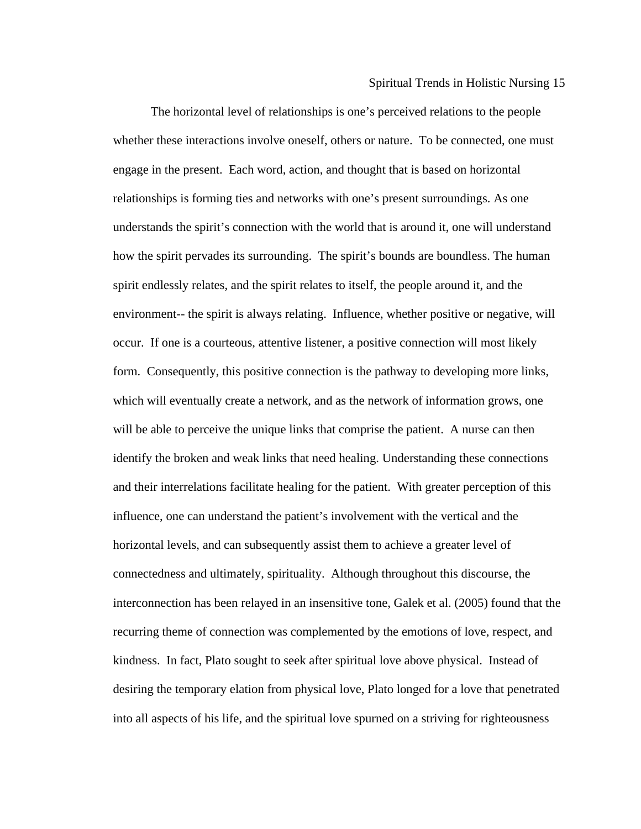whether these interactions involve oneself, others or nature. To be connected, one must engage in the present. Each word, action, and thought that is based on horizontal understands the spirit's connection with the world that is around it, one will understand how the spirit pervades its surrounding. The spirit's bounds are boundless. The human occur. If one is a courteous, attentive listener, a positive connection will most likely and their interrelations facilitate healing for the patient. With greater perception of this e connectedness and ultimately, spirituality. Although throughout this discourse, th interconnection has been relayed in an insensitive tone, Galek et al. (2005) found that the recurring theme of connection was complemented by the emotions of love, respect, and into all aspects of his life, and the spiritual love spurned on a striving for righteousness The horizontal level of relationships is one's perceived relations to the people relationships is forming ties and networks with one's present surroundings. As one spirit endlessly relates, and the spirit relates to itself, the people around it, and the environment-- the spirit is always relating. Influence, whether positive or negative, will form. Consequently, this positive connection is the pathway to developing more links, which will eventually create a network, and as the network of information grows, one will be able to perceive the unique links that comprise the patient. A nurse can then identify the broken and weak links that need healing. Understanding these connections influence, one can understand the patient's involvement with the vertical and the horizontal levels, and can subsequently assist them to achieve a greater level of kindness. In fact, Plato sought to seek after spiritual love above physical. Instead of desiring the temporary elation from physical love, Plato longed for a love that penetrated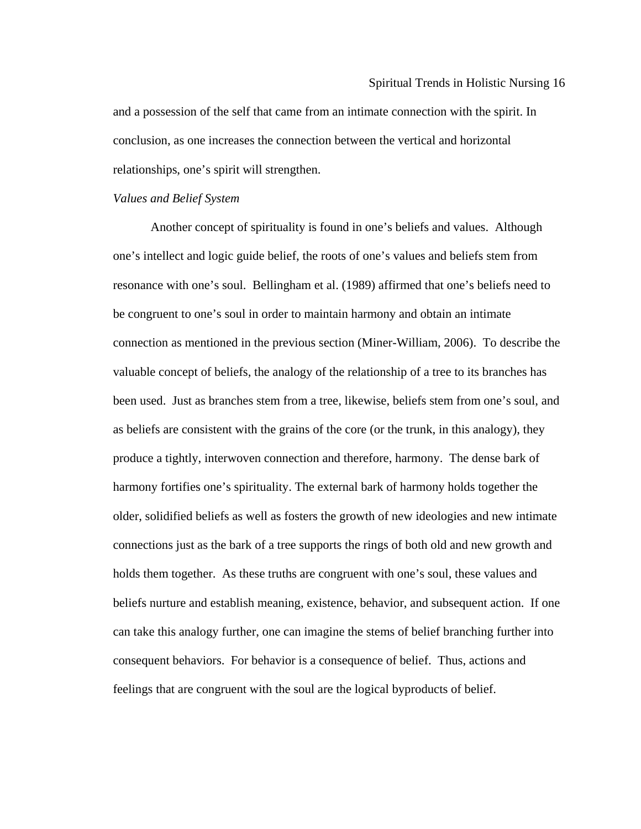and a possession of the self that came from an intimate connection with the spirit. In conclusion, as one increases the connection between the vertical and horizontal relationships, one's spirit will strengthen.

#### *Values and Belief System*

Another concept of spirituality is found in one's beliefs and values. Although one's intellect and logic guide belief, the roots of one's values and beliefs stem from resonan ce with one's soul. Bellingham et al. (1989) affirmed that one's beliefs need to valuable concept of beliefs, the analogy of the relationship of a tree to its branches has connections just as the bark of a tree supports the rings of both old and new growth and can take this analogy further, one can imagine the stems of belief branching further into be congruent to one's soul in order to maintain harmony and obtain an intimate connection as mentioned in the previous section (Miner-William, 2006). To describe the been used. Just as branches stem from a tree, likewise, beliefs stem from one's soul, and as beliefs are consistent with the grains of the core (or the trunk, in this analogy), they produce a tightly, interwoven connection and therefore, harmony. The dense bark of harmony fortifies one's spirituality. The external bark of harmony holds together the older, solidified beliefs as well as fosters the growth of new ideologies and new intimate holds them together. As these truths are congruent with one's soul, these values and beliefs nurture and establish meaning, existence, behavior, and subsequent action. If one consequent behaviors. For behavior is a consequence of belief. Thus, actions and feelings that are congruent with the soul are the logical byproducts of belief.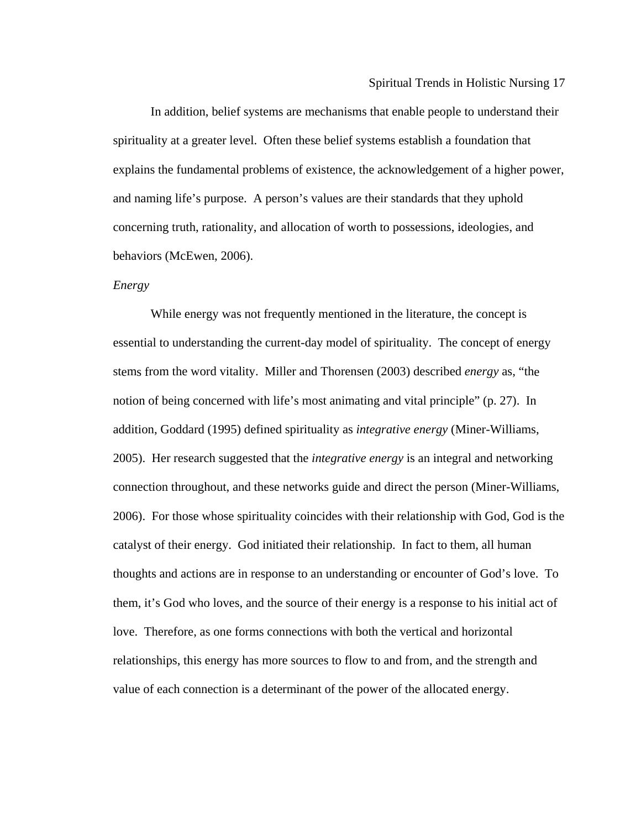In addition, belief systems are mechanisms that enable people to understand their spirituality at a greater level. Often these belief systems establish a foundation that explain s the fundamental problems of existence, the acknowledgement of a higher power, and naming life's purpose. A person's values are their standards that they uphold concerning truth, rationality, and allocation of worth to possessions, ideologies, and behaviors (McEwen, 2006).

### *Energy*

While energy was not frequently mentioned in the literature, the concept is essential to understanding the current-day model of spirituality. The concept of energy stems from the word vitality. Miller and Thorensen (2003) described *energy* as, "the 2005). Her research suggested that the *integrative energy* is an integral and networking connection throughout, and these networks guide and direct the person (Miner-Williams, 2006). For those whose spirituality coincides with their relationship with God, God is the them, it's God who loves, and the source of their energy is a response to his initial act of notion of being concerned with life's most animating and vital principle" (p. 27). In addition, Goddard (1995) defined spirituality as *integrative energy* (Miner-Williams, catalyst of their energy. God initiated their relationship. In fact to them, all human thoughts and actions are in response to an understanding or encounter of God's love. To love. Therefore, as one forms connections with both the vertical and horizontal relationships, this energy has more sources to flow to and from, and the strength and value of each connection is a determinant of the power of the allocated energy.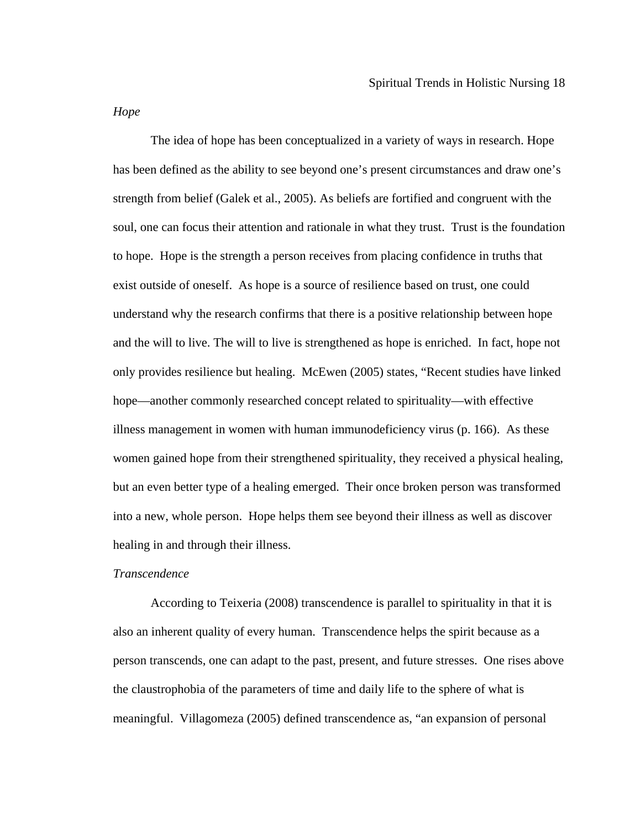*Hope* 

The idea of hope has been conceptualized in a variety of ways in research. Hope has been defined as the ability to see beyond one's present circumstances and draw one's strength from belief (Galek et al., 2005). As beliefs are fortified and congruent with the soul, one can focus their attention and rationale in what they trust. Trust is the foundation to hope. Hope is the strength a person receives from placing confidence in truths that exist outside of oneself. As hope is a source of resilience based on trust, one could understand why the research confirms that there is a positive relationship between hope and the will to live. The will to live is strengthened as hope is enriched. In fact, hope not only provides resilience but healing. McEwen (2005) states, "Recent studies have linked hope—another commonly researched concept related to spirituality—with effective illness management in women with human immunodeficiency virus (p. 166). As these women gained hope from their strengthened spirituality, they received a physical healing, but an even better type of a healing emerged. Their once broken person was transformed into a new, whole person. Hope helps them see beyond their illness as well as discover healing in and through their illness.

### *Transcendence*

According to Teixeria (2008) transcendence is parallel to spirituality in that it is also an inherent quality of every human. Transcendence helps the spirit because as a person transcends, one can adapt to the past, present, and future stresses. One rises above the claustrophobia of the parameters of time and daily life to the sphere of what is meaningful. Villagomeza (2005) defined transcendence as, "an expansion of personal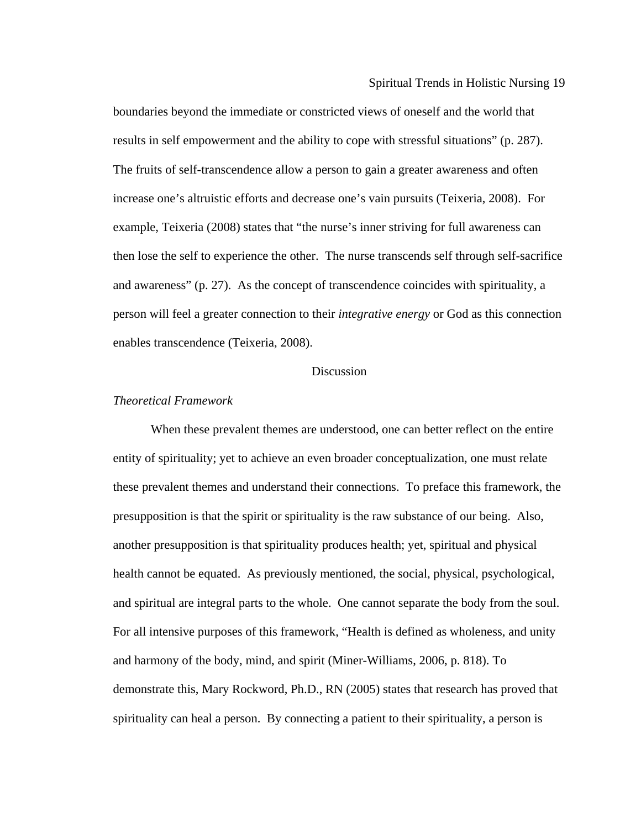boundaries beyond the immediate or constricted views of oneself and the world that results in self empowerment and the ability to cope with stressful situations" (p. 287). then lose the self to experience the other. The nurse transcends self through self-sacrifice and awareness" (p. 27). As the concept of transcendence coincides with spirituality, a The fruits of self-transcendence allow a person to gain a greater awareness and often increase one's altruistic efforts and decrease one's vain pursuits (Teixeria, 2008). For example, Teixeria (2008) states that "the nurse's inner striving for full awareness can person will feel a greater connection to their *integrative energy* or God as this connection enables transcendence (Teixeria, 2008).

### Discussion

### *Theoretical Framework*

another presupposition is that spirituality produces health; yet, spiritual and physical health cannot be equated. As previously mentioned, the social, physical, psychological, and spi ritual are integral parts to the whole. One cannot separate the body from the soul. For all intensive purposes of this framework, "Health is defined as wholeness, and unity demonstrate this, Mary Rockword, Ph.D., RN (2005) states that research has proved that When these prevalent themes are understood, one can better reflect on the entire entity of spirituality; yet to achieve an even broader conceptualization, one must relate these prevalent themes and understand their connections. To preface this framework, the presupposition is that the spirit or spirituality is the raw substance of our being. Also, and harmony of the body, mind, and spirit (Miner-Williams, 2006, p. 818). To spirituality can heal a person. By connecting a patient to their spirituality, a person is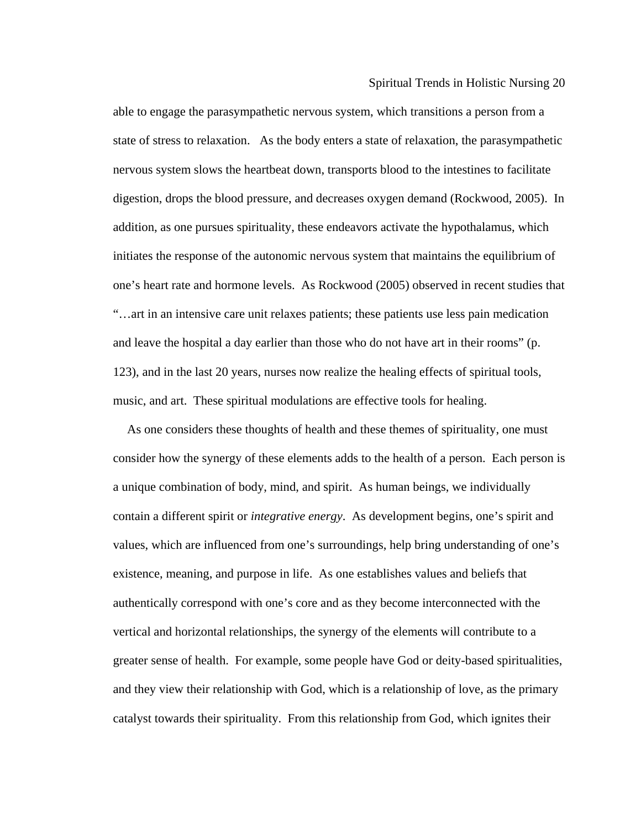Spiritual Trends in Holistic Nursing 20

state of stress to relaxation. As the body enters a state of relaxation, the parasympathetic nervous system slows the heartbeat down, transports blood to the intestines to facilitate digestion, drops the blood pressure, and decreases oxygen demand (Rockwood, 2005). In one's heart rate and hormone levels. As Rockwood (2005) observed in recent studies that and leave the hospital a day earlier than those who do not have art in their rooms" (p. 123), and in the last 20 years, nurses now realize the healing effects of spiritual tools, music, and art. These spiritual modulations are effective tools for healing. able to engage the parasympathetic nervous system, which transitions a person from a addition, as one pursues spirituality, these endeavors activate the hypothalamus, which initiates the response of the autonomic nervous system that maintains the equilibrium of "…art in an intensive care unit relaxes patients; these patients use less pain medication

consider how the synergy of these elements adds to the health of a person. Each person is values, which are influenced from one's surroundings, help bring understanding of one's greater sense of health. For example, some people have God or deity-based spiritualities, As one considers these thoughts of health and these themes of spirituality, one must a unique combination of body, mind, and spirit. As human beings, we individually contain a different spirit or *integrative energy*. As development begins, one's spirit and existence, meaning, and purpose in life. As one establishes values and beliefs that authentically correspond with one's core and as they become interconnected with the vertical and horizontal relationships, the synergy of the elements will contribute to a and they view their relationship with God, which is a relationship of love, as the primary catalyst towards their spirituality. From this relationship from God, which ignites their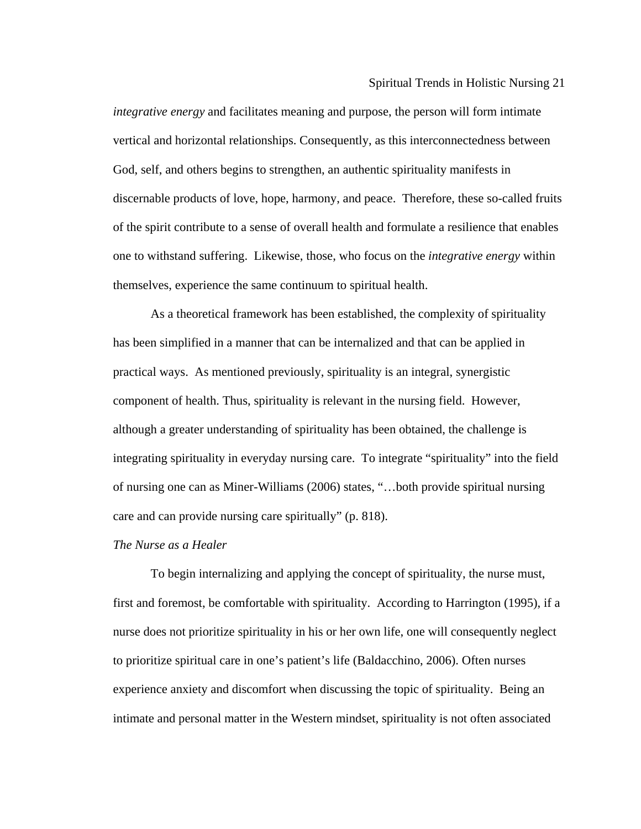*integrative energy* and facilitates meaning and purpose, the person will form intimate vertical and horizontal relationships. Consequently, as this interconnectedness between God, self, and others begins to strengthen, an authentic spirituality manifests in discernable products of love, hope, harmony, and peace. Therefore, these so-called fruits of the spirit contribute to a sense of overall health and formulate a resilience that enables one to withstand suffering. Likewise, those, who focus on the *integrative energy* within themselves, experience the same continuum to spiritual health.

component of health. Thus, spirituality is relevant in the nursing field. However, of nursing one can as Miner-Williams (2006) states, "...both provide spiritual nursing As a theoretical framework has been established, the complexity of spirituality has been simplified in a manner that can be internalized and that can be applied in practical ways. As mentioned previously, spirituality is an integral, synergistic although a greater understanding of spirituality has been obtained, the challenge is integrating spirituality in everyday nursing care. To integrate "spirituality" into the field care and can provide nursing care spiritually" (p. 818).

### *The Nurse as a Healer*

To begin internalizing and applying the concept of spirituality, the nurse must, first and foremost, be comfortable with spirituality. According to Harrington (1995), if a nurse does not prioritize spirituality in his or her own life, one will consequently neglect to prioritize spiritual care in one's patient's life (Baldacchino, 2006). Often nurses experience anxiety and discomfort when discussing the topic of spirituality. Being an intimate and personal matter in the Western mindset, spirituality is not often associated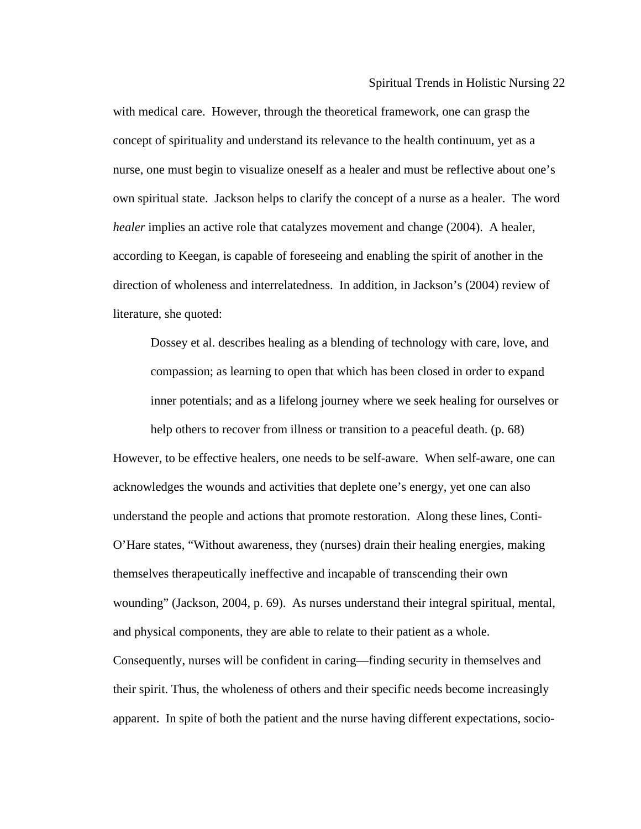nurse, one must begin to visualize oneself as a healer and must be reflective about one's direction of wholeness and interrelatedness. In addition, in Jackson's (2004) review of literature, she quoted: with medical care. However, through the theoretical framework, one can grasp the concept of spirituality and understand its relevance to the health continuum, yet as a own spiritual state. Jackson helps to clarify the concept of a nurse as a healer. The word *healer* implies an active role that catalyzes movement and change (2004). A healer, according to Keegan, is capable of foreseeing and enabling the spirit of another in the

Dossey et al. describes healing as a blending of technology with care, love, and compassion; as learning to open that which has been closed in order to expand inner potentials; and as a lifelong journey where we seek healing for ourselves or help others to recover from illness or transition to a peaceful death. (p. 68)

understand the people and actions that promote restoration. Along these lines, Conti-O'Hare states, "Without awareness, they (nurses) drain their healing energies, making themse lves therapeutically ineffective and incapable of transcending their own Consequently, nurses will be confident in caring—finding security in themselves and However, to be effective healers, one needs to be self-aware. When self-aware, one can acknowledges the wounds and activities that deplete one's energy, yet one can also wounding" (Jackson, 2004, p. 69). As nurses understand their integral spiritual, mental, and physical components, they are able to relate to their patient as a whole. their spirit. Thus, the wholeness of others and their specific needs become increasingly apparent. In spite of both the patient and the nurse having different expectations, socio-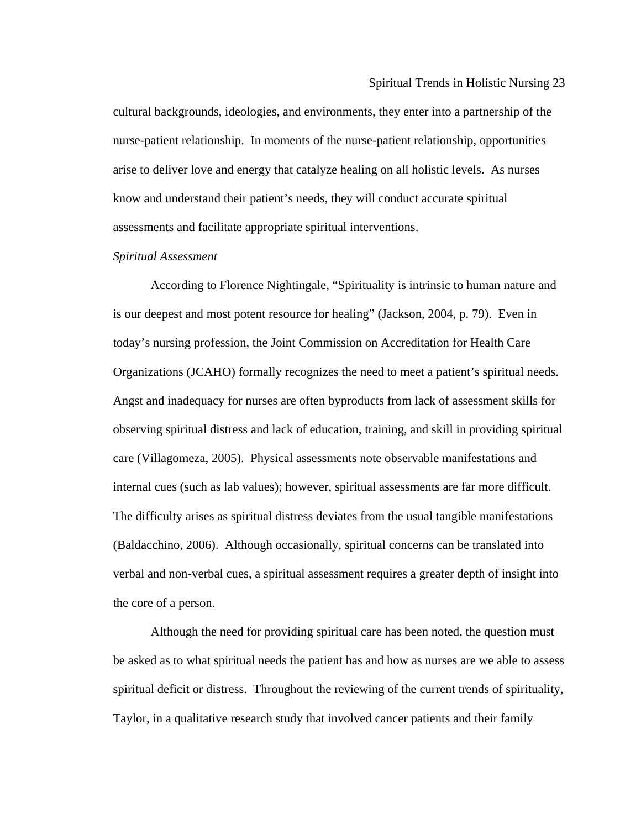cultural backgrounds, ideologies, and environments, they enter into a partnership of the nurse-patient relationship. In moments of the nurse-patient relationship, opportunities arise to deliver love and energy that catalyze healing on all holistic levels. As nurses know and understand their patient's needs, they will conduct accurate spiritual assessments and facilitate appropriate spiritual interventions.

# *Spiritual Assessment*

is our deepest and most potent resource for healing" (Jackson, 2004, p. 79). Even in today's nursing profession, the Joint Commission on Accreditation for Health Care Organizations (JCAHO) formally recognizes the need to meet a patient's spiritual needs. Angst a nd inadequacy for nurses are often byproducts from lack of assessment skills for observing spiritual distress and lack of education, training, and skill in providing spiritual internal cues (such as lab values); however, spiritual assessments are far more difficult. The difficulty arises as spiritual distress deviates from the usual tangible manifestations verbal and non-verbal cues, a spiritual assessment requires a greater depth of insight into According to Florence Nightingale, "Spirituality is intrinsic to human nature and care (Villagomeza, 2005). Physical assessments note observable manifestations and (Baldacchino, 2006). Although occasionally, spiritual concerns can be translated into the core of a person.

Although the need for providing spiritual care has been noted, the question must be asked as to what spiritual needs the patient has and how as nurses are we able to assess spiritual deficit or distress. Throughout the reviewing of the current trends of spirituality, Taylor, in a qualitative research study that involved cancer patients and their family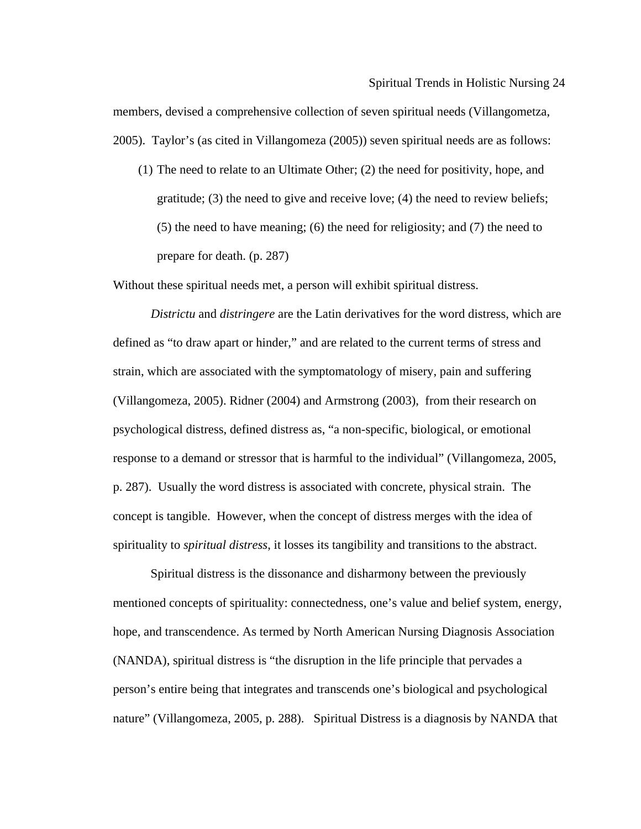2005). Taylor's (as cited in Villangomeza (2005)) seven spiritual needs are as follows: members, devised a comprehensive collection of seven spiritual needs (Villangometza,

gratitude; (3) the need to give and receive love; (4) the need to review beliefs;  $(5)$  the need to have meaning;  $(6)$  the need for religiosity; and  $(7)$  the need to prepare for death. (p. 287) (1) The need to relate to an Ultimate Other; (2) the need for positivity, hope, and

Without these spiritual needs met, a person will exhibit spiritual distress.

Districtu and *distringere* are the Latin derivatives for the word distress, which are response to a demand or stressor that is harmful to the individual" (Villangomeza, 2005, defined as "to draw apart or hinder," and are related to the current terms of stress and strain, which are associated with the symptomatology of misery, pain and suffering (Villangomeza, 2005). Ridner (2004) and Armstrong (2003), from their research on psychological distress, defined distress as, "a non-specific, biological, or emotional p. 287). Usually the word distress is associated with concrete, physical strain. The concept is tangible. However, when the concept of distress merges with the idea of spirituality to *spiritual distress*, it losses its tangibility and transitions to the abstract.

mentioned concepts of spirituality: connectedness, one's value and belief system, energy, nature" (Villangomeza, 2005, p. 288). Spiritual Distress is a diagnosis by NANDA that Spiritual distress is the dissonance and disharmony between the previously hope, and transcendence. As termed by North American Nursing Diagnosis Association (NANDA), spiritual distress is "the disruption in the life principle that pervades a person's entire being that integrates and transcends one's biological and psychological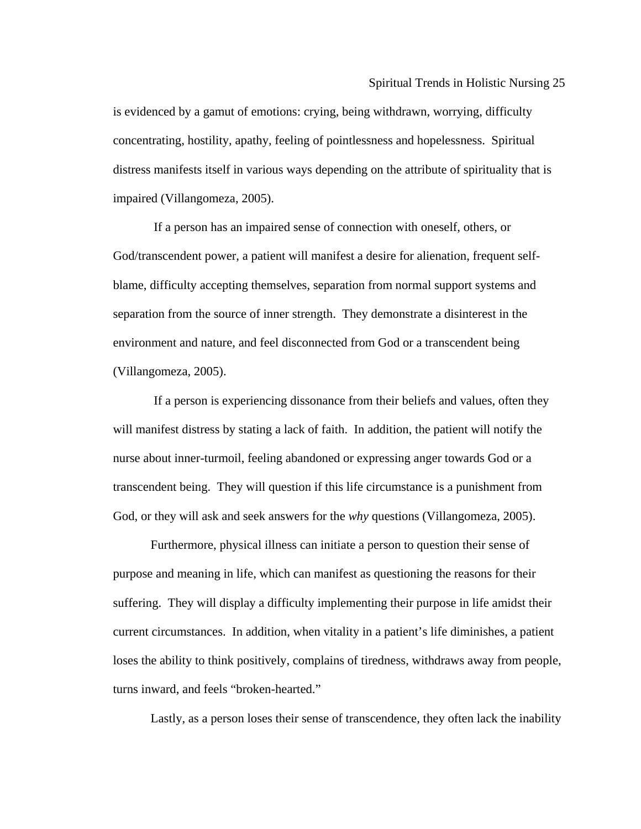is evidenced by a gamut of emotions: crying, being withdrawn, worrying, difficulty concentrating, hostility, apathy, feeling of pointlessness and hopelessness. Spiritual distress manifests itself in various ways depending on the attribute of spirituality that is impaired (Villangomeza, 2005).

God/transcendent power, a patient will manifest a desire for alienation, frequent selfblame, difficulty accepting themselves, separation from normal support systems and If a person has an impaired sense of connection with oneself, others, or separation from the source of inner strength. They demonstrate a disinterest in the environment and nature, and feel disconnected from God or a transcendent being (Villangomeza, 2005).

If a person is experiencing dissonance from their beliefs and values, often they will manifest distress by stating a lack of faith. In addition, the patient will notify the nurse about inner-turmoil, feeling abandoned or expressing anger towards God or a transcendent being. They will question if this life circumstance is a punishment from God, or they will ask and seek answers for the *why* questions (Villangomeza, 2005).

purpose and meaning in life, which can manifest as questioning the reasons for their loses the ability to think positively, complains of tiredness, withdraws away from people, Furthermore, physical illness can initiate a person to question their sense of suffering. They will display a difficulty implementing their purpose in life amidst their current circumstances. In addition, when vitality in a patient's life diminishes, a patient turns inward, and feels "broken-hearted."

Lastly, as a person loses their sense of transcendence, they often lack the inability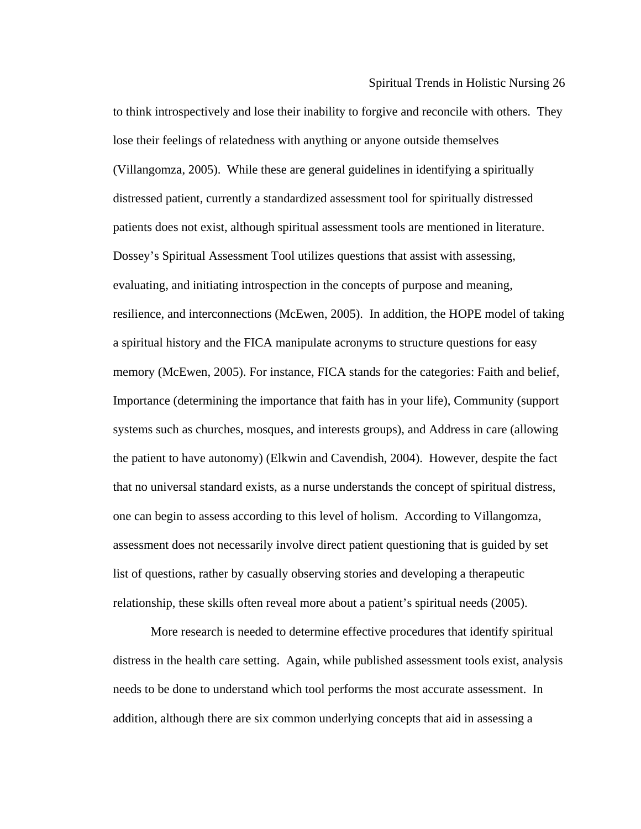Spiritual Trends in Holistic Nursing 26

to think introspectively and lose their inability to forgive and reconcile with others. They distressed patient, currently a standardized assessment tool for spiritually distressed patients does not exist, although spiritual assessment tools are mentioned in literature. resilience, and interconnections (McEwen, 2005). In addition, the HOPE model of taking a spiritual history and the FICA manipulate acronyms to structure questions for easy memory (McEwen, 2005). For instance, FICA stands for the categories: Faith and belief, Importance (determining the importance that faith has in your life), Community (support systems such as churches, mosques, and interests groups), and Address in care (allowing the patient to have autonomy) (Elkwin and Cavendish, 2004). However, despite the fact that no universal standard exists, as a nurse understands the concept of spiritual distress, assessment does not necessarily involve direct patient questioning that is guided by set lose their feelings of relatedness with anything or anyone outside themselves (Villangomza, 2005). While these are general guidelines in identifying a spiritually Dossey's Spiritual Assessment Tool utilizes questions that assist with assessing, evaluating, and initiating introspection in the concepts of purpose and meaning, one can begin to assess according to this level of holism. According to Villangomza, list of questions, rather by casually observing stories and developing a therapeutic relationship, these skills often reveal more about a patient's spiritual needs (2005).

needs to be done to understand which tool performs the most accurate assessment. In More research is needed to determine effective procedures that identify spiritual distress in the health care setting. Again, while published assessment tools exist, analysis addition, although there are six common underlying concepts that aid in assessing a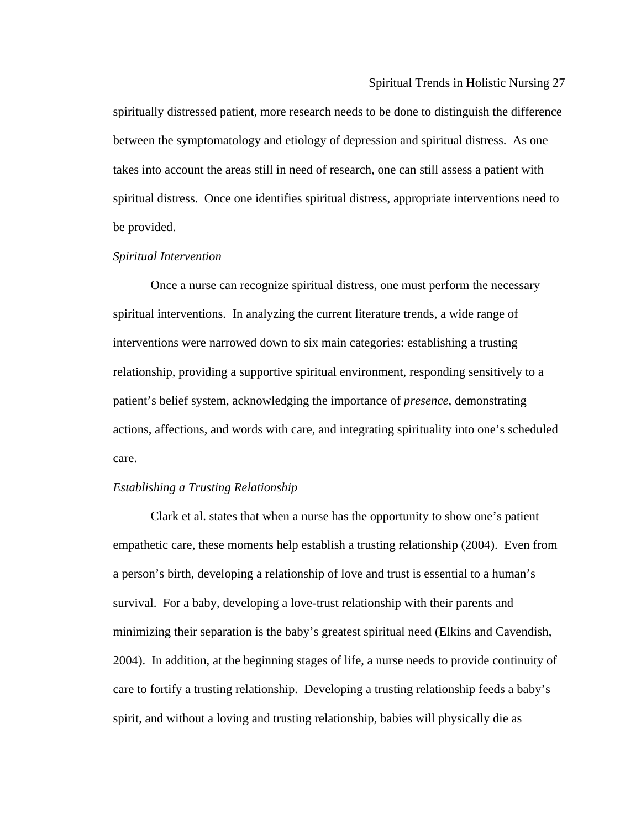between the symptomatology and etiology of depression and spiritual distress. As one spiritual distress. Once one identifies spiritual distress, appropriate interventions need to spiritually distressed patient, more research needs to be done to distinguish the difference takes into account the areas still in need of research, one can still assess a patient with be provided.

#### *Spiritual Intervention*

Once a nurse can recognize spiritual distress, one must perform the necessary spiritual interventions. In analyzing the current literature trends, a wide range of interventions were narrowed down to six main categories: establishing a trusting relationship, providing a supportive spiritual environment, responding sensitively to a patient's belief system, acknowledging the importance of *presence*, demonstrating actions, affections, and words with care, and integrating spirituality into one's scheduled care.

## *Establishing a Trusting Relationship*

a person's birth, developing a relationship of love and trust is essential to a human's minimizing their separation is the baby's greatest spiritual need (Elkins and Cavendish, Clark et al. states that when a nurse has the opportunity to show one's patient empathetic care, these moments help establish a trusting relationship (2004). Even from survival. For a baby, developing a love-trust relationship with their parents and 2004). In addition, at the beginning stages of life, a nurse needs to provide continuity of care to fortify a trusting relationship. Developing a trusting relationship feeds a baby's spirit, and without a loving and trusting relationship, babies will physically die as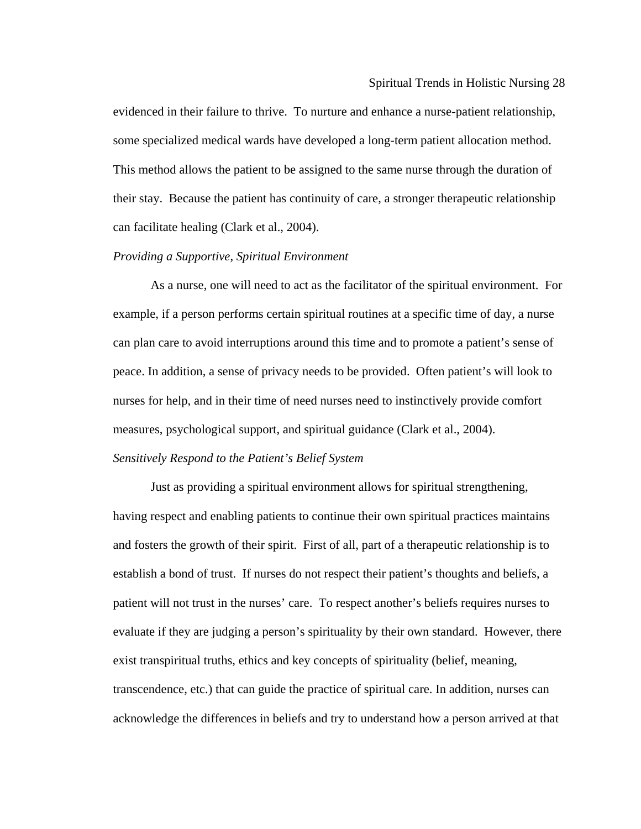can facilitate healing (Clark et al., 2004). evidenced in their failure to thrive. To nurture and enhance a nurse-patient relationship, some specialized medical wards have developed a long-term patient allocation method. This method allows the patient to be assigned to the same nurse through the duration of their stay. Because the patient has continuity of care, a stronger therapeutic relationship

# **Providing a Supportive, Spiritual Environment**

As a nurse, one will need to act as the facilitator of the spiritual environment. For example, if a person performs certain spiritual routines at a specific time of day, a nurse can plan care to avoid interruptions around this time and to promote a patient's sense of nurses for help, and in their time of need nurses need to instinctively provide comfort peace. In addition, a sense of privacy needs to be provided. Often patient's will look to measures, psychological support, and spiritual guidance (Clark et al., 2004).

# Sensitively Respond to the Patient's Belief System

Just as providing a spiritual environment allows for spiritual strengthening, having respect and enabling patients to continue their own spiritual practices maintains establish a bond of trust. If nurses do not respect their patient's thoughts and beliefs, a patient will not trust in the nurses' care. To respect another's beliefs requires nurses to acknowledge the differences in beliefs and try to understand how a person arrived at that and fosters the growth of their spirit. First of all, part of a therapeutic relationship is to evaluate if they are judging a person's spirituality by their own standard. However, there exist transpiritual truths, ethics and key concepts of spirituality (belief, meaning, transcendence, etc.) that can guide the practice of spiritual care. In addition, nurses can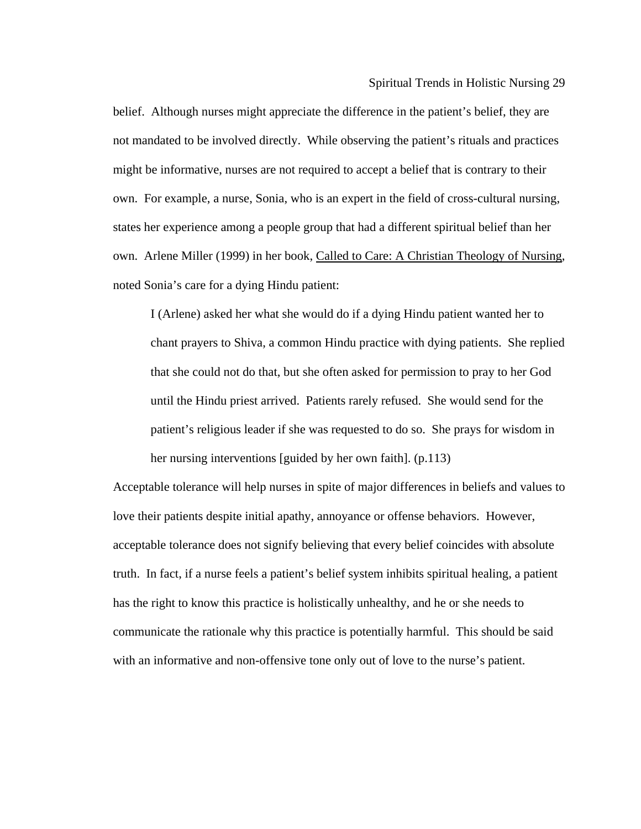states her experience among a people group that had a different spiritual belief than her own. Arlene Miller (1999) in her book, Called to Care: A Christian Theology of Nursing, belief. Although nurses might appreciate the difference in the patient's belief, they are not mandated to be involved directly. While observing the patient's rituals and practices might be informative, nurses are not required to accept a belief that is contrary to their own. For example, a nurse, Sonia, who is an expert in the field of cross-cultural nursing, noted Sonia's care for a dying Hindu patient:

chant prayers to Shiva, a common Hindu practice with dying patients. She replied patient's religious leader if she was requested to do so. She prays for wisdom in her nursing interventions [guided by her own faith]. (p.113) I (Arlene) asked her what she would do if a dying Hindu patient wanted her to that she could not do that, but she often asked for permission to pray to her God until the Hindu priest arrived. Patients rarely refused. She would send for the

Acceptable tolerance will help nurses in spite of major differences in beliefs and values to truth. In fact, if a nurse feels a patient's belief system inhibits spiritual healing, a patient with an informative and non-offensive tone only out of love to the nurse's patient.love their patients despite initial apathy, annoyance or offense behaviors. However, acceptable tolerance does not signify believing that every belief coincides with absolute has the right to know this practice is holistically unhealthy, and he or she needs to communicate the rationale why this practice is potentially harmful. This should be said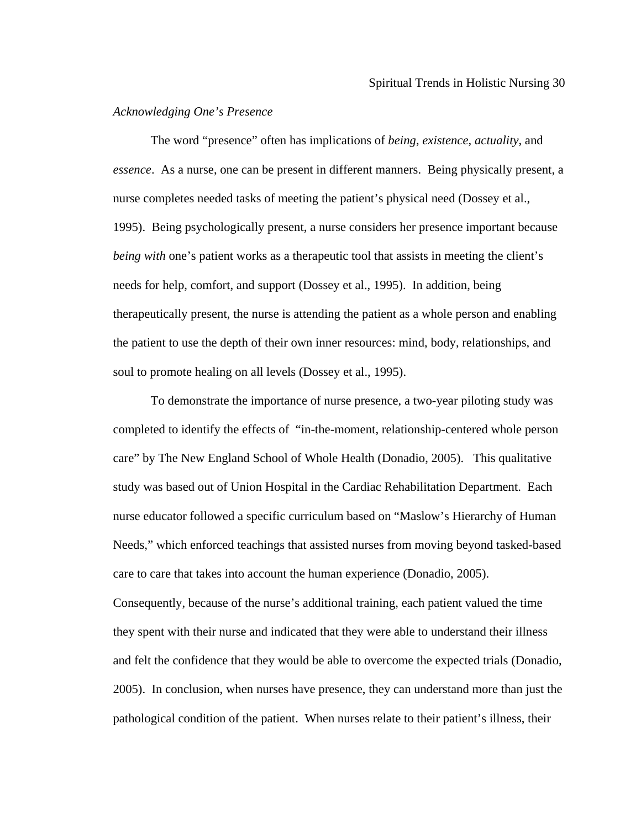# *Acknowledging One's Presence*

essence. As a nurse, one can be present in different manners. Being physically present, a needs for help, comfort, and support (Dossey et al., 1995). In addition, being therapeutically present, the nurse is attending the patient as a whole person and enabling the patient to use the depth of their own inner resources: mind, body, relationships, and soul to promote healing on all levels (Dossey et al., 1995). The word "presence" often has implications of *being*, *existence*, *actuality*, and nurse completes needed tasks of meeting the patient's physical need (Dossey et al., 1995). Being psychologically present, a nurse considers her presence important because *being with* one's patient works as a therapeutic tool that assists in meeting the client's

comple ted to identify the effects of "in-the-moment, relationship-centered whole person care" by The New England School of Whole Health (Donadio, 2005). This qualitative nurse educator followed a specific curriculum based on "Maslow's Hierarchy of Human To demonstrate the importance of nurse presence, a two-year piloting study was study was based out of Union Hospital in the Cardiac Rehabilitation Department. Each Needs," which enforced teachings that assisted nurses from moving beyond tasked-based care to care that takes into account the human experience (Donadio, 2005).

Consequently, because of the nurse's additional training, each patient valued the time and felt the confidence that they would be able to overcome the expected trials (Donadio, 2005). In conclusion, when nurses have presence, they can understand more than just the pathological condition of the patient. When nurses relate to their patient's illness, their they spent with their nurse and indicated that they were able to understand their illness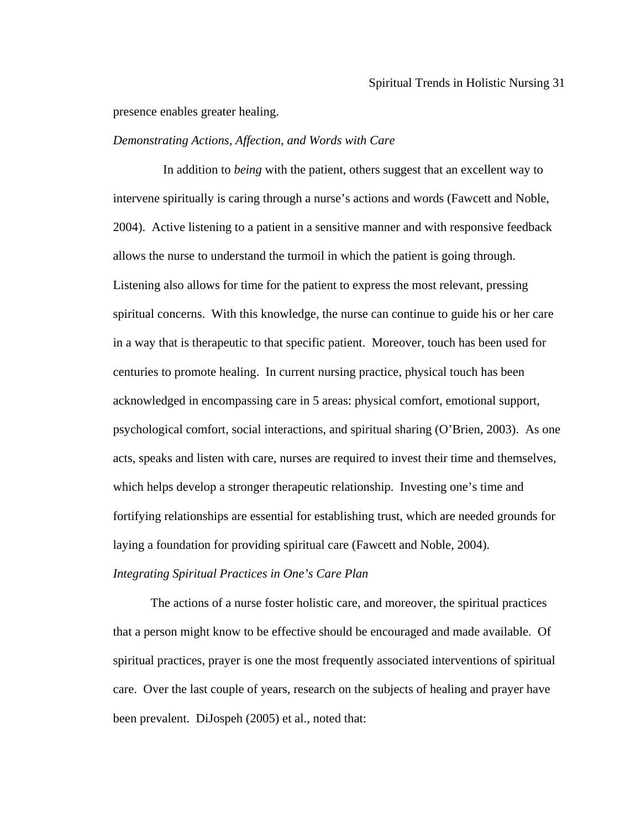presence enables greater healing.

## *Demonstrating Actions, Affection, and Words with Care*

intervene spiritually is caring through a nurse's actions and words (Fawcett and Noble, Listening also allows for time for the patient to express the most relevant, pressing centuries to promote healing. In current nursing practice, physical touch has been In addition to *being* with the patient, others suggest that an excellent way to 2004). Active listening to a patient in a sensitive manner and with responsive feedback allows the nurse to understand the turmoil in which the patient is going through. spiritual concerns. With this knowledge, the nurse can continue to guide his or her care in a way that is therapeutic to that specific patient. Moreover, touch has been used for acknowledged in encompassing care in 5 areas: physical comfort, emotional support, psychological comfort, social interactions, and spiritual sharing (O'Brien, 2003). As one acts, speaks and listen with care, nurses are required to invest their time and themselves, which helps develop a stronger therapeutic relationship. Investing one's time and fortifying relationships are essential for establishing trust, which are needed grounds for laying a foundation for providing spiritual care (Fawcett and Noble, 2004).

# *Integrating Spiritual Practices in One's Care Plan*

The actions of a nurse foster holistic care, and moreover, the spiritual practices that a person might know to be effective should be encouraged and made available. Of spiritual practices, prayer is one the most frequently associated interventions of spiritual care. Over the last couple of years, research on the subjects of healing and prayer have been prevalent. DiJospeh (2005) et al., noted that: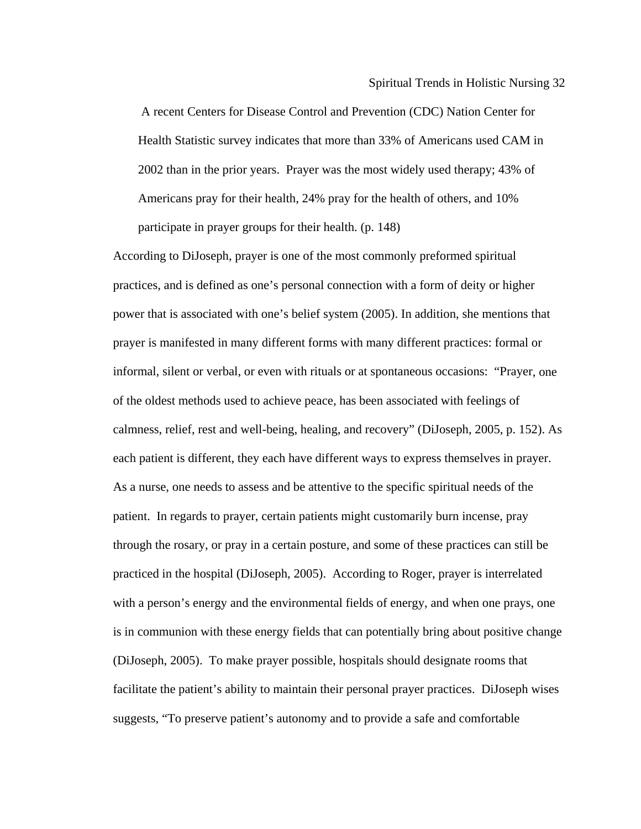A recent Centers for Disease Control and Prevention (CDC) Nation Center for Health Statistic survey indicates that more than 33% of Americans used CAM in 2002 than in the prior years. Prayer was the most widely used therapy; 43% of Americans pray for their health, 24% pray for the health of others, and 10% participate in prayer groups for their health. (p. 148)

informal, silent or verbal, or even with rituals or at spontaneous occasions: "Prayer, one through the rosary, or pray in a certain posture, and some of these practices can still be practiced in the hospital (DiJoseph, 2005). According to Roger, prayer is interrelated with a p erson's energy and the environmental fields of energy, and when one prays, one is in communion with these energy fields that can potentially bring about positive change suggests, "To preserve patient's autonomy and to provide a safe and comfortable According to DiJoseph, prayer is one of the most commonly preformed spiritual practices, and is defined as one's personal connection with a form of deity or higher power that is associated with one's belief system (2005). In addition, she mentions that prayer is manifested in many different forms with many different practices: formal or of the oldest methods used to achieve peace, has been associated with feelings of calmness, relief, rest and well-being, healing, and recovery" (DiJoseph, 2005, p. 152). As each patient is different, they each have different ways to express themselves in prayer. As a nurse, one needs to assess and be attentive to the specific spiritual needs of the patient. In regards to prayer, certain patients might customarily burn incense, pray (DiJoseph, 2005). To make prayer possible, hospitals should designate rooms that facilitate the patient's ability to maintain their personal prayer practices. DiJoseph wises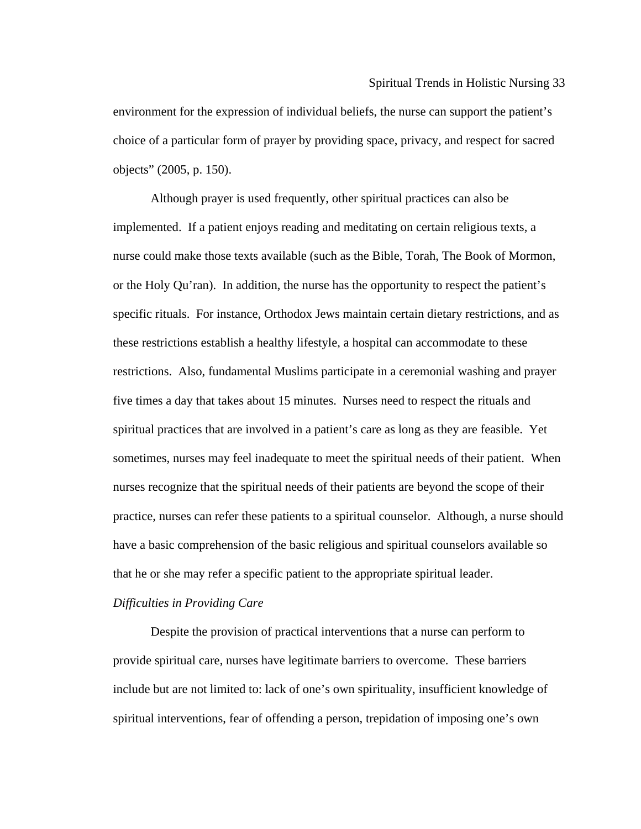environment for the expression of individual beliefs, the nurse can support the patient's choic e of a particular form of prayer by providing space, privacy, and respect for sacred objec ts" (2005, p. 150).

implemented. If a patient enjoys reading and meditating on certain religious texts, a nurse could make those texts available (such as the Bible, Torah, The Book of Mormon, or the Holy Qu'ran). In addition, the nurse has the opportunity to respect the patient's nurses recognize that the spiritual needs of their patients are beyond the scope of their practice, nurses can refer these patients to a spiritual counselor. Although, a nurse should Although prayer is used frequently, other spiritual practices can also be specific rituals. For instance, Orthodox Jews maintain certain dietary restrictions, and as these restrictions establish a healthy lifestyle, a hospital can accommodate to these restrictions. Also, fundamental Muslims participate in a ceremonial washing and prayer five times a day that takes about 15 minutes. Nurses need to respect the rituals and spiritual practices that are involved in a patient's care as long as they are feasible. Yet sometimes, nurses may feel inadequate to meet the spiritual needs of their patient. When have a basic comprehension of the basic religious and spiritual counselors available so that he or she may refer a specific patient to the appropriate spiritual leader.

#### *Difficulties in Providing Care*

spiritual interventions, fear of offending a person, trepidation of imposing one's own Despite the provision of practical interventions that a nurse can perform to provide spiritual care, nurses have legitimate barriers to overcome. These barriers include but are not limited to: lack of one's own spirituality, insufficient knowledge of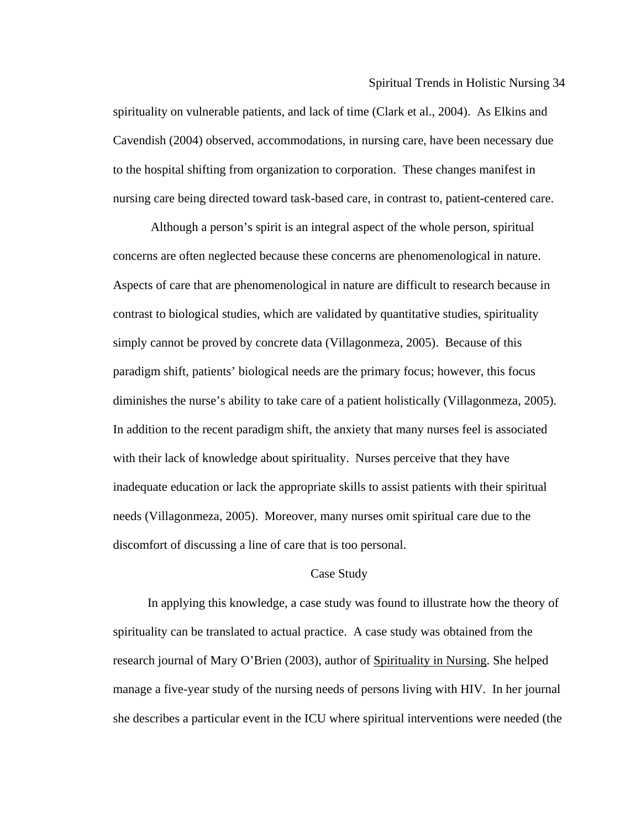to the hospital shifting from organization to corporation. These changes manifest in nursing care being directed toward task-based care, in contrast to, patient-centered care. spirituality on vulnerable patients, and lack of time (Clark et al., 2004). As Elkins and Cavendish (2004) observed, accommodations, in nursing care, have been necessary due

diminishes the nurse's ability to take care of a patient holistically (Villagonmeza, 2005). Although a person's spirit is an integral aspect of the whole person, spiritual concerns are often neglected because these concerns are phenomenological in nature. Aspects of care that are phenomenological in nature are difficult to research because in contrast to biological studies, which are validated by quantitative studies, spirituality simply cannot be proved by concrete data (Villagonmeza, 2005). Because of this paradigm shift, patients' biological needs are the primary focus; however, this focus In addition to the recent paradigm shift, the anxiety that many nurses feel is associated with their lack of knowledge about spirituality. Nurses perceive that they have inadequate education or lack the appropriate skills to assist patients with their spiritual needs (Villagonmeza, 2005). Moreover, many nurses omit spiritual care due to the discomfort of discussing a line of care that is too personal.

#### Case Study

In applying this knowledge, a case study was found to illustrate how the theory of spirituality can be translated to actual practice. A case study was obtained from the research journal of Mary O'Brien (2003), author of Spirituality in Nursing. She helped manage a five-year study of the nursing needs of persons living with HIV. In her journa l she describes a particular event in the ICU where spiritual interventions were needed ( the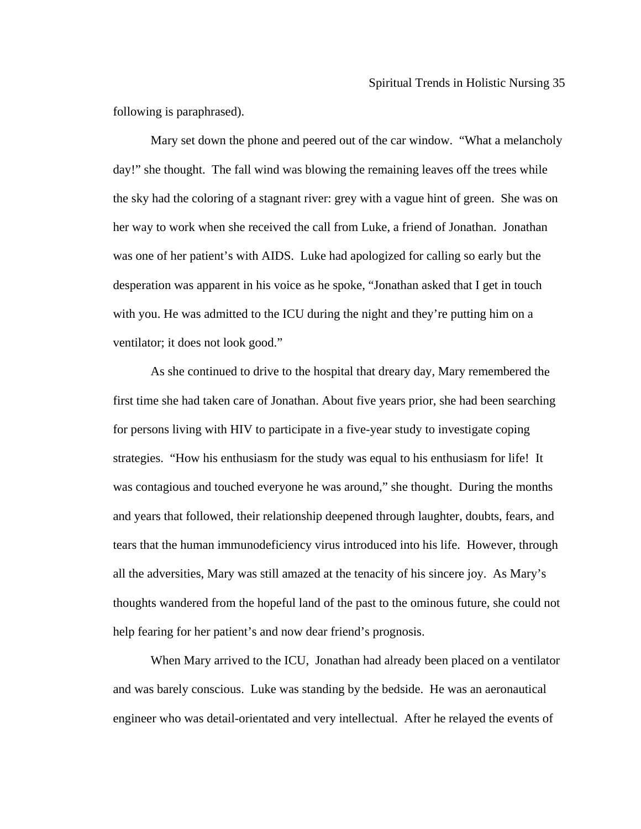following is paraphrased).

day!" she thought. The fall wind was blowing the remaining leaves off the trees while her way to work when she received the call from Luke, a friend of Jonathan. Jonathan Mary set down the phone and peered out of the car window. "What a melancholy the sky had the coloring of a stagnant river: grey with a vague hint of green. She was on was one of her patient's with AIDS. Luke had apologized for calling so early but the desperation was apparent in his voice as he spoke, "Jonathan asked that I get in touch with you. He was admitted to the ICU during the night and they're putting him on a ventilator; it does not look good."

As she continued to drive to the hospital that dreary day, Mary remembered the strategies. "How his enthusiasm for the study was equal to his enthusiasm for life! It and and years that followed, their relationship deepened through laughter, doubts, fears, tears that the human immunodeficiency virus introduced into his life. However, through all the adversities, Mary was still amazed at the tenacity of his sincere joy. As Mary's thoug hts wandered from the hopeful land of the past to the ominous future, she could not first time she had taken care of Jonathan. About five years prior, she had been searching for persons living with HIV to participate in a five-year study to investigate coping was contagious and touched everyone he was around," she thought. During the months help fearing for her patient's and now dear friend's prognosis.

When Mary arrived to the ICU, Jonathan had already been placed on a ventilator and was barely conscious. Luke was standing by the bedside. He was an aeronautical engineer who was detail-orientated and very intellectual. After he relayed the events of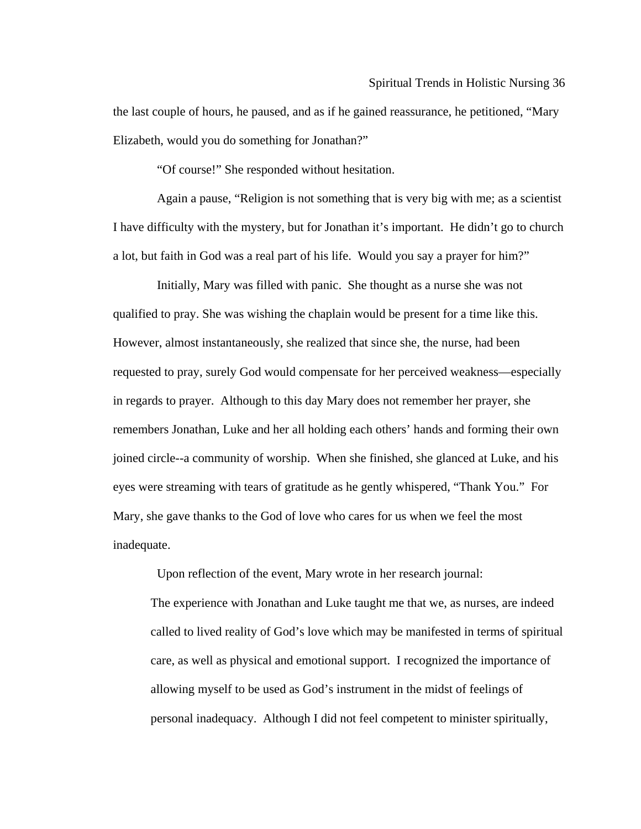the last couple of hours, he paused, and as if he gained reassurance, he petitioned, "Mary Elizabe th, would you do something for Jonathan?"

"Of course!" She responded without hesitation.

I have difficulty with the mystery, but for Jonathan it's important. He didn't go to church Again a pause, "Religion is not something that is very big with me; as a scientist a lot, but faith in God was a real part of his life. Would you say a prayer for him?"

 qualified to pray. She was wishing the chaplain would be present for a time like this. However, almost instantaneously, she realized that since she, the nurse, had been requested to pray, surely God would compensate for her perceived weakness—especially remembers Jonathan, Luke and her all holding each others' hands and forming their own joined circle--a community of worship. When she finished, she glanced at Luke, and his Initially, Mary was filled with panic. She thought as a nurse she was not in regards to prayer. Although to this day Mary does not remember her prayer, she eyes were streaming with tears of gratitude as he gently whispered, "Thank You." For Mary, she gave thanks to the God of love who cares for us when we feel the most inadequate.

Upon reflection of the event, Mary wrote in her research journal:

called to lived reality of God's love which may be manifested in terms of spiritual The experience with Jonathan and Luke taught me that we, as nurses, are indeed care, as well as physical and emotional support. I recognized the importance of allowing myself to be used as God's instrument in the midst of feelings of personal inadequacy. Although I did not feel competent to minister spiritually,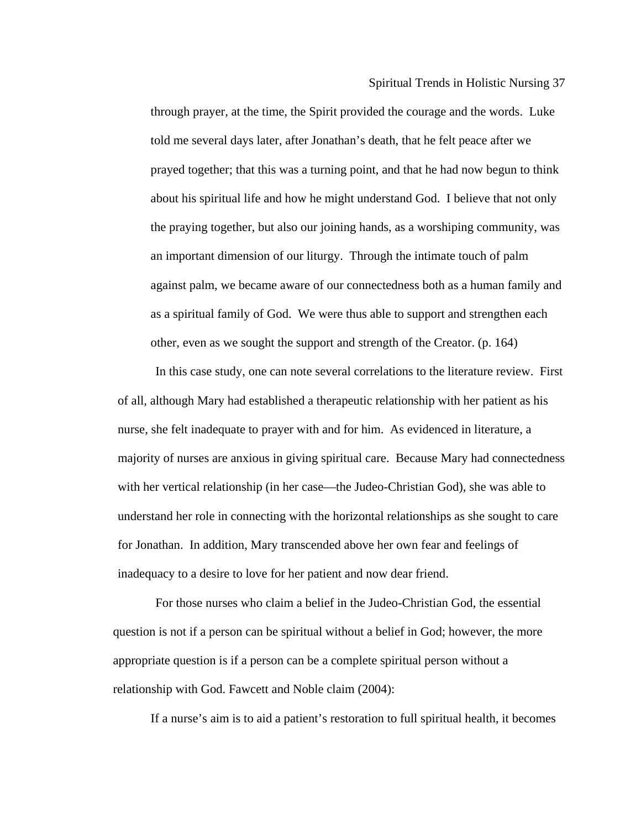told me several days later, after Jonathan's death, that he felt peace after we prayed together; that this was a turning point, and that he had now begun to think a bout his spiritual life and how he might understand God. I believe that not only a gainst palm, we became aware of our connectedness both as a human family and through prayer, at the time, the Spirit provided the courage and the words. Luke the praying together, but also our joining hands, as a worshiping community, was an important dimension of our liturgy. Through the intimate touch of palm as a spiritual family of God. We were thus able to support and strengthen each other, even as we sought the support and strength of the Creator. (p. 164)

of all, although Mary had established a therapeutic relationship with her patient as his understand her role in connecting with the horizontal relationships as she sought to care for Jonathan. In addition, Mary transcended above her own fear and feelings of inadequ acy to a desire to love for her patient and now dear friend. In this case study, one can note several correlations to the literature review. First nurse, she felt inadequate to prayer with and for him. As evidenced in literature, a majority of nurses are anxious in giving spiritual care. Because Mary had connectedness with her vertical relationship (in her case—the Judeo-Christian God), she was able to

questio n is not if a person can be spiritual without a belief in God; however, the more approp riate question is if a person can be a complete spiritual person without a relation ship with God. Fawcett and Noble claim (2004): For those nurses who claim a belief in the Judeo-Christian God, the essential

If a nurse's aim is to aid a patient's restoration to full spiritual health, it becomes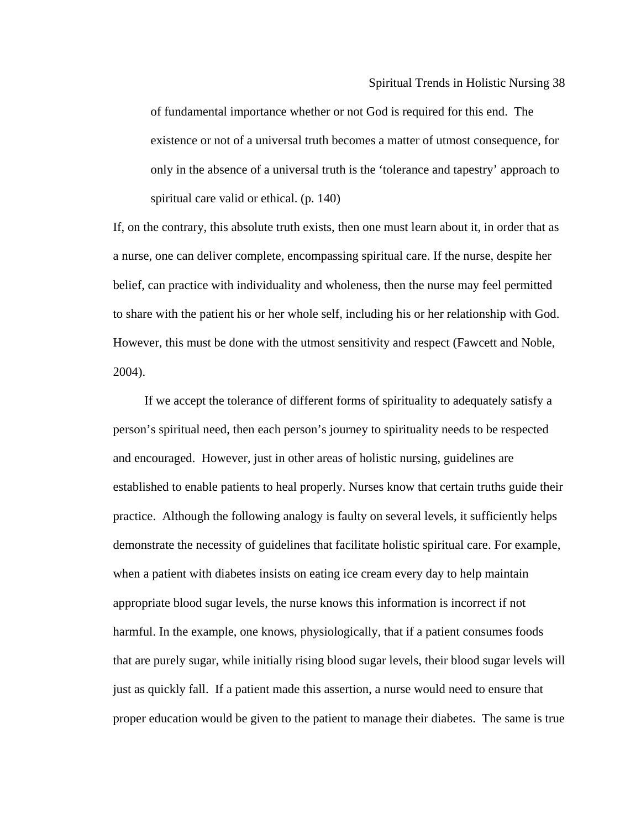existence or not of a universal truth becomes a matter of utmost consequence, for of fundamental importance whether or not God is required for this end. The only in the absence of a universal truth is the 'tolerance and tapestry' approach to spiritual care valid or ethical. (p. 140)

If, on th e contrary, this absolute truth exists, then one must learn about it, in order that as a nurse, one can deliver complete, encompassing spiritual care. If the nurse, despite her belief, can practice with individuality and wholeness, then the nurse may feel permitted to share with the patient his or her whole self, including his or her relationship with God. However, this must be done with the utmost sensitivity and respect (Fawcett and Noble, 2004).

person's spiritual need, then each person's journey to spirituality needs to be respected a nd encouraged. However, just in other areas of holistic nursing, guidelines are established to enable patients to heal properly. Nurses know that certain truths guide their p ractice. Although the following analogy is faulty on several levels, it sufficiently helps demonstrate the necessity of guidelines that facilitate holistic spiritual care. For example, when a patient with diabetes insists on eating ice cream every day to help maintain appropr iate blood sugar levels, the nurse knows this information is incorrect if not that are purely sugar, while initially rising blood sugar levels, their blood sugar levels will just as quickly fall. If a patient made this assertion, a nurse would need to ensure that proper education would be given to the patient to manage their diabetes. The same is trueIf we accept the tolerance of different forms of spirituality to adequately satisfy a harmful. In the example, one knows, physiologically, that if a patient consumes foods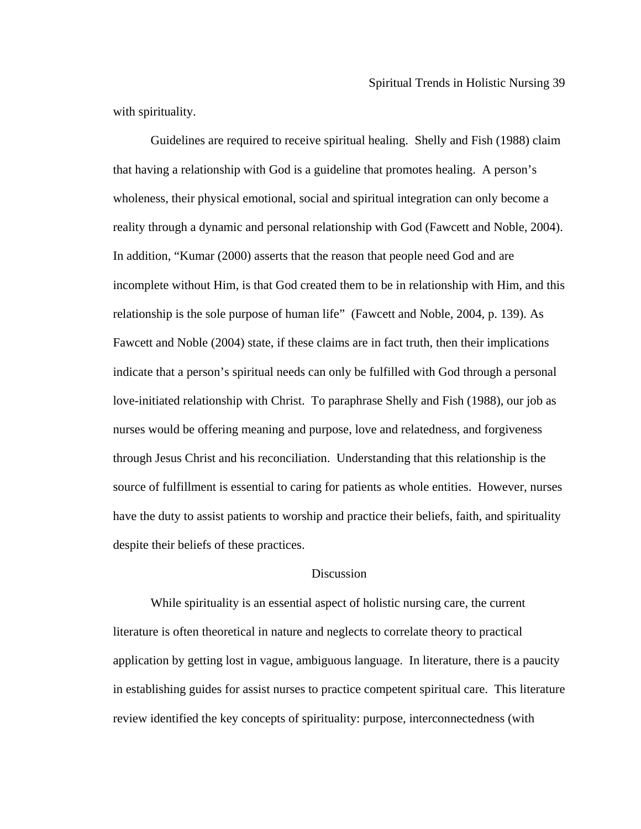with sp irituality.

that hav ing a relationship with God is a guideline that promotes healing. A person's wholeness, their physical emotional, social and spiritual integration can only become a incomplete without Him, is that God created them to be in relationship with Him, and this indicate that a person's spiritual needs can only be fulfilled with God through a personal love-i nitiated relationship with Christ. To paraphrase Shelly and Fish (1988), our job as through Jesus Christ and his reconciliation. Understanding that this relationship is the Guidelines are required to receive spiritual healing. Shelly and Fish (1988) claim reality through a dynamic and personal relationship with God (Fawcett and Noble, 2004). In addition, "Kumar (2000) asserts that the reason that people need God and are relationship is the sole purpose of human life" (Fawcett and Noble, 2004, p. 139). As Fawcett and Noble (2004) state, if these claims are in fact truth, then their implications nurses would be offering meaning and purpose, love and relatedness, and forgiveness source of fulfillment is essential to caring for patients as whole entities. However, nurses have the duty to assist patients to worship and practice their beliefs, faith, and spirituality despite their beliefs of these practices.

# Discussion

 While spirituality is an essential aspect of holistic nursing care, the current literature is often theoretical in nature and neglects to correlate theory to practical application by getting lost in vague, ambiguous language. In literature, there is a paucity in establishing guides for assist nurses to practice competent spiritual care. This literature review identified the key concepts of spirituality: purpose, interconnectedness (with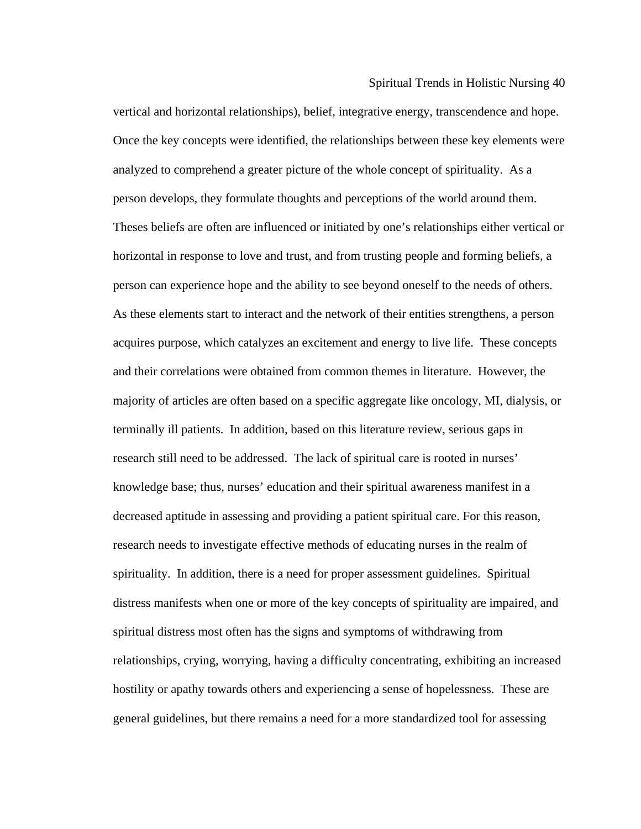Spiritual Trends in Holistic Nursing 40

vertical and horizontal relationships), belief, integrative energy, transcendence and hope. Once th e key concepts were identified, the relationships between these key elements were horizontal in response to love and trust, and from trusting people and forming beliefs, a research needs to investigate effective methods of educating nurses in the realm of spirituality. In addition, there is a need for proper assessment guidelines. Spiritual distress manifests when one or more of the key concepts of spirituality are impaired, and general guidelines, but there remains a need for a more standardized tool for assessing analyzed to comprehend a greater picture of the whole concept of spirituality. As a person develops, they formulate thoughts and perceptions of the world around them. Theses beliefs are often are influenced or initiated by one's relationships either vertical or person can experience hope and the ability to see beyond oneself to the needs of others. As these elements start to interact and the network of their entities strengthens, a person acquires purpose, which catalyzes an excitement and energy to live life. These concepts and their correlations were obtained from common themes in literature. However, the majority of articles are often based on a specific aggregate like oncology, MI, dialysis, or terminally ill patients. In addition, based on this literature review, serious gaps in research still need to be addressed. The lack of spiritual care is rooted in nurses' knowledge base; thus, nurses' education and their spiritual awareness manifest in a decreased aptitude in assessing and providing a patient spiritual care. For this reason, spiritual distress most often has the signs and symptoms of withdrawing from relationships, crying, worrying, having a difficulty concentrating, exhibiting an increased hostility or apathy towards others and experiencing a sense of hopelessness. These are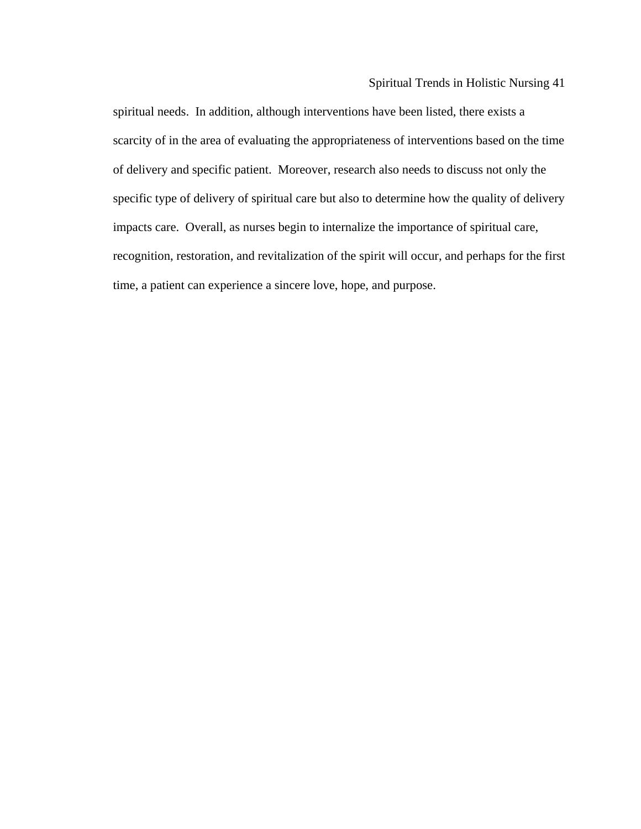# Spiritual Trends in Holistic Nursing 41

of delivery and specific patient. Moreover, research also needs to discuss not only the specific type of delivery of spiritual care but also to determine how the quality of delivery recognition, restoration, and revitalization of the spirit will occur, and perhaps for the first spiritual needs. In addition, although interventions have been listed, there exists a scarcity of in the area of evaluating the appropriateness of interventions based on the time impacts care. Overall, as nurses begin to internalize the importance of spiritual care, time, a patient can experience a sincere love, hope, and purpose.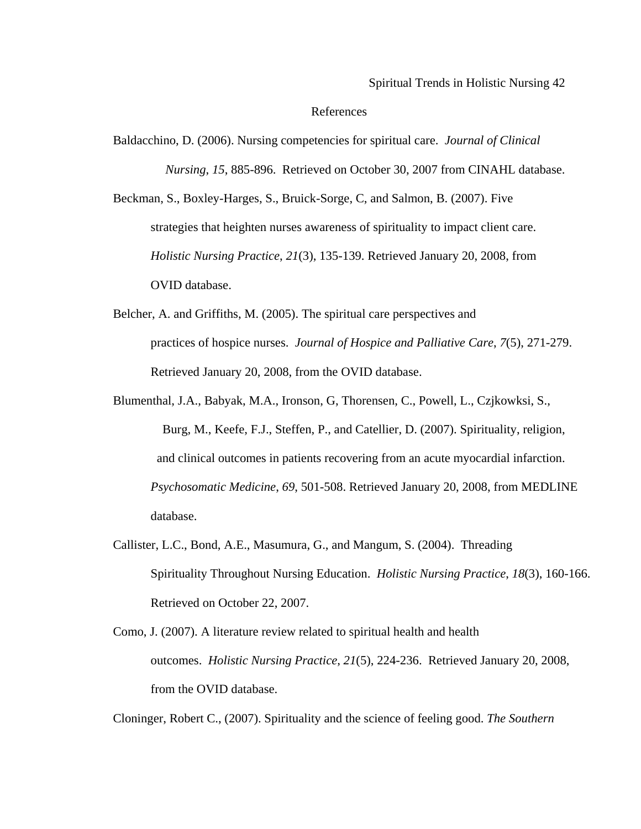### References

*Nursing*, 15, 885-896. Retrieved on October 30, 2007 from CINAHL database. Baldacchino, D. (2006). Nursing competencies for spiritual care. *Journal of Clinical* 

Beckman, S., Boxley-Harges, S., Bruick-Sorge, C, and Salmon, B. (2007). Five strategies that heighten nurses awareness of spirituality to impact client care. *Holistic Nursing Practice*, *21*(3), 135-139. Retrieved January 20, 2008, from OVID database.

- Belcher, A. and Griffiths, M. (2005). The spiritual care perspectives and practices of hospice nurses. *Journal of Hospice and Palliative Care*, *7*(5), 271-279. Retrieved January 20, 2008, from the OVID database.
- Blumenthal, J.A., Babyak, M.A., Ironson, G, Thorensen, C., Powell, L., Czjkowksi, S., Burg, M., Keefe, F.J., Steffen, P., and Catellier, D. (2007). Spirituality, religion, and clinical outcomes in patients recovering from an acute myocardial infarction. *Psychosomatic Medicine*, *69*, 501-508. Retrieved January 20, 2008, from MEDLINE database.
- Callister, L.C., Bond, A.E., Masumura, G., and Mangum, S. (2004). Threading Spirituality Throughout Nursing Education. *Holistic Nursing Practice*, *18*(3), 160-166. Retrieved on October 22, 2007.
- Como, J. (2007). A literature review related to spiritual health and health outcomes. *Holistic Nursing Practice*, *21*(5), 224-236. Retrieved January 20, 2008, from the OVID database.

Cloninger, Robert C., (2007). Spirituality and the science of feeling good. *The Southern*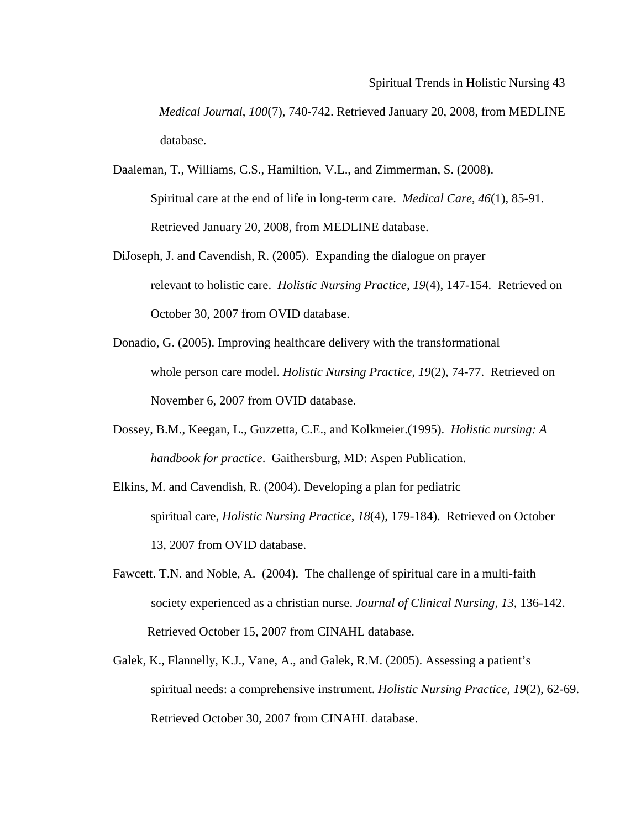*Medical Journal*, *100*(7), 740-742. Retrieved January 20, 2008, from MEDLINE database.

- Spiritual care at the end of life in long-term care. *Medical Care*, 46(1), 85-91. Daaleman, T., Williams, C.S., Hamiltion, V.L., and Zimmerman, S. (2008). Retrieved January 20, 2008, from MEDLINE database.
- relevant to holistic care. *Holistic Nursing Practice*, 19(4), 147-154. Retrieved on DiJoseph, J. and Cavendish, R. (2005). Expanding the dialogue on prayer October 30, 2007 from OVID database.
- whole person care model. *Holistic Nursing Practice*, *19*(2), 74-77. Retrieved on Donadio, G. (2005). Improving healthcare delivery with the transformational November 6, 2007 from OVID database.
- Dossey, B.M., Keegan, L., Guzzetta, C.E., and Kolkmeier.(1995). *Holistic nursing: A handbook for practice*. Gaithersburg, MD: Aspen Publication.
- spiritual care, *Holistic Nursing Practice*, 18(4), 179-184). Retrieved on October Elkins, M. and Cavendish, R. (2004). Developing a plan for pediatric 13, 2007 from OVID database.
- society experienced as a christian nurse. *Journal of Clinical Nursing*, 13, 136-142. Fawcett. T.N. and Noble, A. (2004). The challenge of spiritual care in a multi-faith Retrieved October 15, 2007 from CINAHL database.
- spiritual needs: a comprehensive instrument. *Holistic Nursing Practice*, 19(2), 62-69. Galek, K., Flannelly, K.J., Vane, A., and Galek, R.M. (2005). Assessing a patient's Retrieved October 30, 2007 from CINAHL database.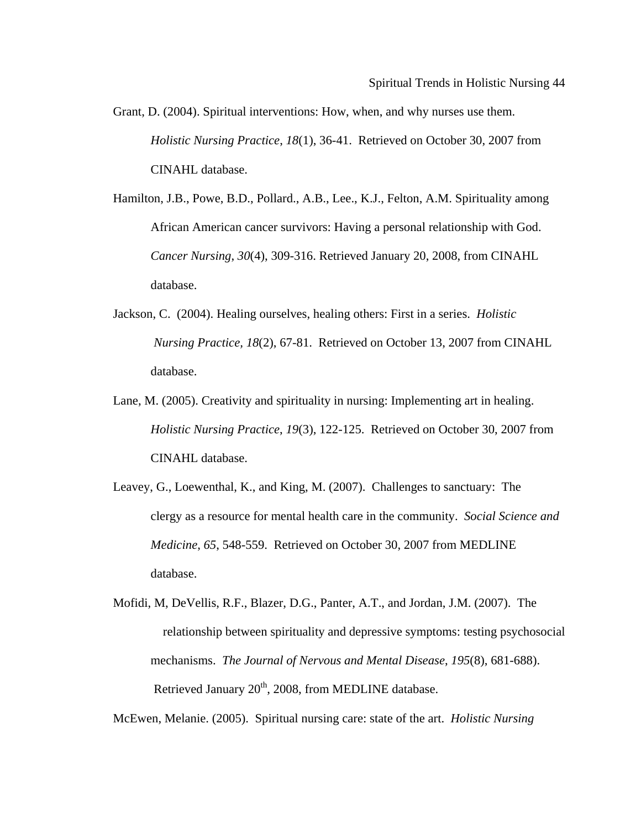- *sing Practice*, *18*(1), 36-41. Retrieved on October 30, 2007 from *Holistic Nur* Grant, D. (2004). Spiritual interventions: How, when, and why nurses use them. CINAHL database.
- African American cancer survivors: Having a personal relationship with God. Cancer Nursing, 30(4), 309-316. Retrieved January 20, 2008, from CINAHL Hamilton, J.B., Powe, B.D., Pollard., A.B., Lee., K.J., Felton, A.M. Spirituality among database.
- Jackson, C. (2004). Healing ourselves, healing others: First in a series. *Holistic Nursing Practice, 18*(2), 67-81. Retrieved on October 13, 2007 from CINAHL database.
- Lane, M. (2005). Creativity and spirituality in nursing: Implementing art in healing. *Holistic Nursing Practice*, *19*(3), 122-125. Retrieved on October 30, 2007 from CINAHL database.
- Leavey, G., Loewenthal, K., and King, M. (2007). Challenges to sanctuary: The Medicine, 65, 548-559. Retrieved on October 30, 2007 from MEDLINE clergy as a resource for mental health care in the community. *Social Science and*  database.
- relationship between spirituality and depressive symptoms: testing psychosocial mechanisms. *The Journal of Nervous and Mental Disease*, *195*(8), 681-688). Mofidi, M, DeVellis, R.F., Blazer, D.G., Panter, A.T., and Jordan, J.M. (2007). The Retrieved January  $20<sup>th</sup>$ , 2008, from MEDLINE database.

McEwen, Melanie. (2005). Spiritual nursing care: state of the art. *Holistic Nursing*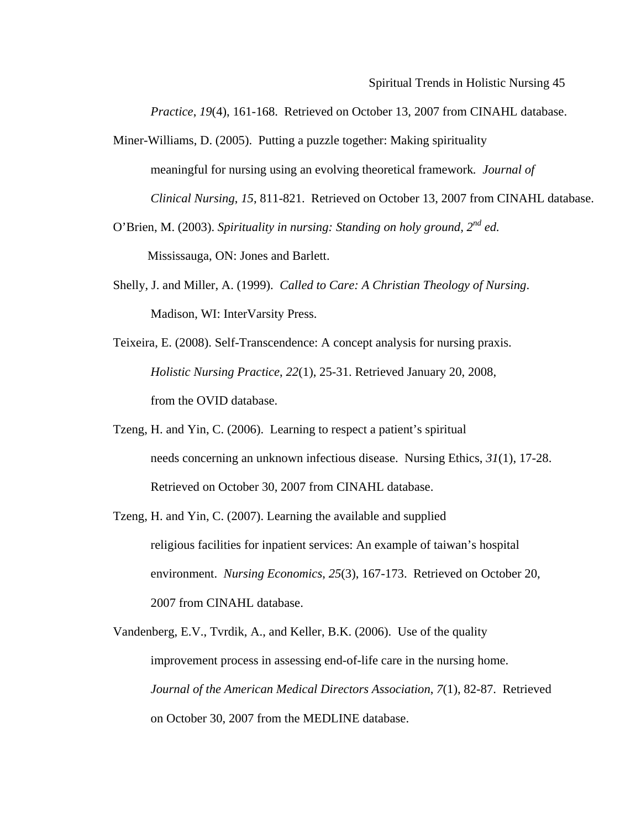*Practice*, 19(4), 161-168. Retrieved on October 13, 2007 from CINAHL database.

- Miner-Williams, D. (2005). Putting a puzzle together: Making spirituality meaningful for nursing using an evolving theoretical framework. Journal of *Clinical Nursing, 15, 811-821. Retrieved on October 13, 2007 from CINAHL database.*
- O'Brien, M. (2003). *Spirituality in nursing: Standing on holy ground, 2<sup>nd</sup> ed.*

Mississauga, ON: Jones and Barlett.

- Shelly, J. and Miller, A. (1999). *Called to Care: A Christian Theology of Nursing*. Madison, WI: InterVarsity Press.
- *Practice*, *22*(1), 25-31. Retrieved January 20, 2008, *Holistic Nursing*  Teixeira, E. (2008). Self-Transcendence: A concept analysis for nursing praxis. from the OVID database.
- Tzeng, H. and Yin, C. (2006). Learning to respect a patient's spiritual needs concerning an unknown infectious disease. Nursing Ethics,  $31(1)$ , 17-28. Retrieved on October 30, 2007 from CINAHL database.
- Tzeng, H. and Yin, C. (2007). Learning the available and supplied environment. *Nursing Economics*, 25(3), 167-173. Retrieved on October 20, religious facilities for inpatient services: An example of taiwan's hospital 2007 from CINAHL database.
- Journal of the American Medical Directors Association, 7(1), 82-87. Retrieved Vandenberg, E.V., Tvrdik, A., and Keller, B.K. (2006). Use of the quality improvement process in assessing end-of-life care in the nursing home. on October 30, 2007 from the MEDLINE database.